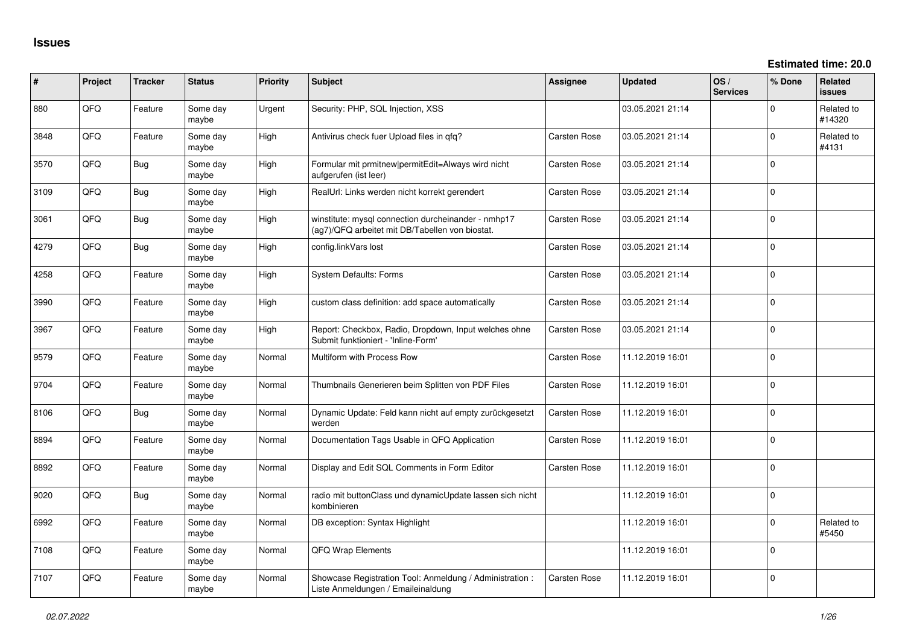| ∦    | Project | <b>Tracker</b> | <b>Status</b>     | <b>Priority</b> | <b>Subject</b>                                                                                         | <b>Assignee</b>     | <b>Updated</b>   | OS/<br><b>Services</b> | % Done      | Related<br><b>issues</b> |
|------|---------|----------------|-------------------|-----------------|--------------------------------------------------------------------------------------------------------|---------------------|------------------|------------------------|-------------|--------------------------|
| 880  | QFQ     | Feature        | Some day<br>maybe | Urgent          | Security: PHP, SQL Injection, XSS                                                                      |                     | 03.05.2021 21:14 |                        | 0           | Related to<br>#14320     |
| 3848 | QFQ     | Feature        | Some day<br>maybe | High            | Antivirus check fuer Upload files in qfq?                                                              | Carsten Rose        | 03.05.2021 21:14 |                        | $\Omega$    | Related to<br>#4131      |
| 3570 | QFQ     | Bug            | Some day<br>maybe | High            | Formular mit prmitnew/permitEdit=Always wird nicht<br>aufgerufen (ist leer)                            | Carsten Rose        | 03.05.2021 21:14 |                        | $\Omega$    |                          |
| 3109 | QFQ     | <b>Bug</b>     | Some day<br>maybe | High            | RealUrl: Links werden nicht korrekt gerendert                                                          | Carsten Rose        | 03.05.2021 21:14 |                        | $\Omega$    |                          |
| 3061 | QFQ     | Bug            | Some day<br>maybe | High            | winstitute: mysql connection durcheinander - nmhp17<br>(ag7)/QFQ arbeitet mit DB/Tabellen von biostat. | Carsten Rose        | 03.05.2021 21:14 |                        | $\Omega$    |                          |
| 4279 | QFQ     | Bug            | Some day<br>maybe | High            | config.linkVars lost                                                                                   | <b>Carsten Rose</b> | 03.05.2021 21:14 |                        | $\mathbf 0$ |                          |
| 4258 | QFQ     | Feature        | Some day<br>maybe | High            | <b>System Defaults: Forms</b>                                                                          | Carsten Rose        | 03.05.2021 21:14 |                        | $\Omega$    |                          |
| 3990 | QFQ     | Feature        | Some day<br>maybe | High            | custom class definition: add space automatically                                                       | Carsten Rose        | 03.05.2021 21:14 |                        | $\Omega$    |                          |
| 3967 | QFQ     | Feature        | Some day<br>maybe | High            | Report: Checkbox, Radio, Dropdown, Input welches ohne<br>Submit funktioniert - 'Inline-Form'           | Carsten Rose        | 03.05.2021 21:14 |                        | $\mathbf 0$ |                          |
| 9579 | QFQ     | Feature        | Some day<br>maybe | Normal          | Multiform with Process Row                                                                             | Carsten Rose        | 11.12.2019 16:01 |                        | $\mathbf 0$ |                          |
| 9704 | QFQ     | Feature        | Some day<br>maybe | Normal          | Thumbnails Generieren beim Splitten von PDF Files                                                      | Carsten Rose        | 11.12.2019 16:01 |                        | $\Omega$    |                          |
| 8106 | QFQ     | Bug            | Some day<br>maybe | Normal          | Dynamic Update: Feld kann nicht auf empty zurückgesetzt<br>werden                                      | Carsten Rose        | 11.12.2019 16:01 |                        | $\mathbf 0$ |                          |
| 8894 | QFQ     | Feature        | Some day<br>maybe | Normal          | Documentation Tags Usable in QFQ Application                                                           | Carsten Rose        | 11.12.2019 16:01 |                        | $\mathbf 0$ |                          |
| 8892 | QFQ     | Feature        | Some day<br>maybe | Normal          | Display and Edit SQL Comments in Form Editor                                                           | <b>Carsten Rose</b> | 11.12.2019 16:01 |                        | $\Omega$    |                          |
| 9020 | QFQ     | Bug            | Some day<br>maybe | Normal          | radio mit buttonClass und dynamicUpdate lassen sich nicht<br>kombinieren                               |                     | 11.12.2019 16:01 |                        | $\mathbf 0$ |                          |
| 6992 | QFQ     | Feature        | Some day<br>maybe | Normal          | DB exception: Syntax Highlight                                                                         |                     | 11.12.2019 16:01 |                        | $\mathbf 0$ | Related to<br>#5450      |
| 7108 | QFQ     | Feature        | Some day<br>maybe | Normal          | QFQ Wrap Elements                                                                                      |                     | 11.12.2019 16:01 |                        | $\Omega$    |                          |
| 7107 | QFQ     | Feature        | Some day<br>maybe | Normal          | Showcase Registration Tool: Anmeldung / Administration :<br>Liste Anmeldungen / Emaileinaldung         | Carsten Rose        | 11.12.2019 16:01 |                        | $\Omega$    |                          |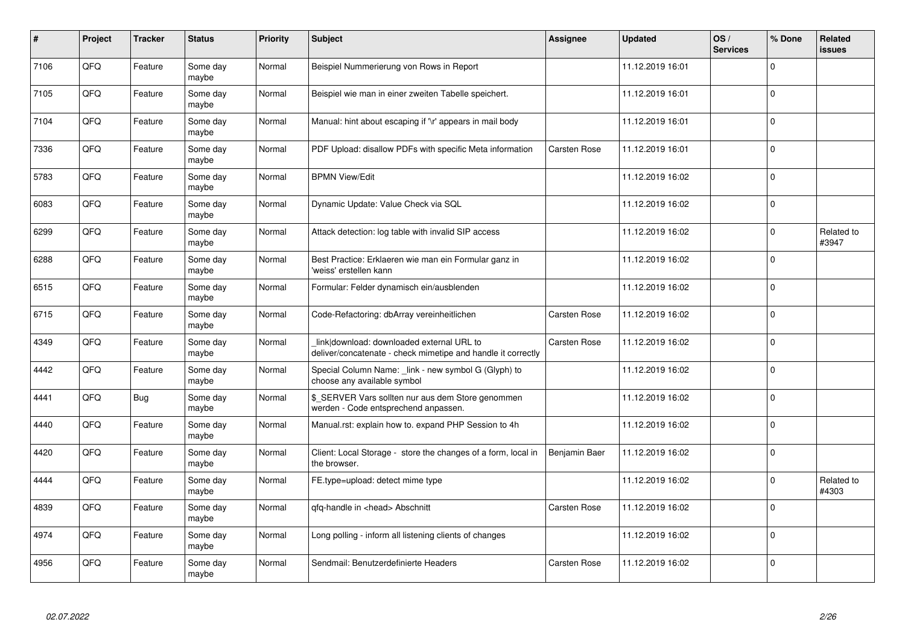| $\pmb{\#}$ | Project | <b>Tracker</b> | <b>Status</b>     | <b>Priority</b> | <b>Subject</b>                                                                                            | Assignee            | <b>Updated</b>   | OS/<br><b>Services</b> | % Done         | <b>Related</b><br><b>issues</b> |
|------------|---------|----------------|-------------------|-----------------|-----------------------------------------------------------------------------------------------------------|---------------------|------------------|------------------------|----------------|---------------------------------|
| 7106       | QFQ     | Feature        | Some day<br>maybe | Normal          | Beispiel Nummerierung von Rows in Report                                                                  |                     | 11.12.2019 16:01 |                        | $\overline{0}$ |                                 |
| 7105       | QFQ     | Feature        | Some day<br>maybe | Normal          | Beispiel wie man in einer zweiten Tabelle speichert.                                                      |                     | 11.12.2019 16:01 |                        | $\overline{0}$ |                                 |
| 7104       | QFQ     | Feature        | Some day<br>maybe | Normal          | Manual: hint about escaping if '\r' appears in mail body                                                  |                     | 11.12.2019 16:01 |                        | $\overline{0}$ |                                 |
| 7336       | QFQ     | Feature        | Some day<br>maybe | Normal          | PDF Upload: disallow PDFs with specific Meta information                                                  | <b>Carsten Rose</b> | 11.12.2019 16:01 |                        | $\overline{0}$ |                                 |
| 5783       | QFQ     | Feature        | Some day<br>maybe | Normal          | <b>BPMN View/Edit</b>                                                                                     |                     | 11.12.2019 16:02 |                        | $\mathbf 0$    |                                 |
| 6083       | QFQ     | Feature        | Some day<br>maybe | Normal          | Dynamic Update: Value Check via SQL                                                                       |                     | 11.12.2019 16:02 |                        | $\mathbf 0$    |                                 |
| 6299       | QFQ     | Feature        | Some day<br>maybe | Normal          | Attack detection: log table with invalid SIP access                                                       |                     | 11.12.2019 16:02 |                        | $\overline{0}$ | Related to<br>#3947             |
| 6288       | QFQ     | Feature        | Some day<br>maybe | Normal          | Best Practice: Erklaeren wie man ein Formular ganz in<br>'weiss' erstellen kann                           |                     | 11.12.2019 16:02 |                        | $\overline{0}$ |                                 |
| 6515       | QFQ     | Feature        | Some day<br>maybe | Normal          | Formular: Felder dynamisch ein/ausblenden                                                                 |                     | 11.12.2019 16:02 |                        | $\pmb{0}$      |                                 |
| 6715       | QFQ     | Feature        | Some day<br>maybe | Normal          | Code-Refactoring: dbArray vereinheitlichen                                                                | <b>Carsten Rose</b> | 11.12.2019 16:02 |                        | $\overline{0}$ |                                 |
| 4349       | QFQ     | Feature        | Some day<br>maybe | Normal          | link download: downloaded external URL to<br>deliver/concatenate - check mimetipe and handle it correctly | <b>Carsten Rose</b> | 11.12.2019 16:02 |                        | $\mathbf 0$    |                                 |
| 4442       | QFQ     | Feature        | Some day<br>maybe | Normal          | Special Column Name: _link - new symbol G (Glyph) to<br>choose any available symbol                       |                     | 11.12.2019 16:02 |                        | $\mathbf 0$    |                                 |
| 4441       | QFQ     | <b>Bug</b>     | Some day<br>maybe | Normal          | \$_SERVER Vars sollten nur aus dem Store genommen<br>werden - Code entsprechend anpassen.                 |                     | 11.12.2019 16:02 |                        | $\overline{0}$ |                                 |
| 4440       | QFQ     | Feature        | Some day<br>maybe | Normal          | Manual.rst: explain how to. expand PHP Session to 4h                                                      |                     | 11.12.2019 16:02 |                        | $\mathbf 0$    |                                 |
| 4420       | QFQ     | Feature        | Some day<br>maybe | Normal          | Client: Local Storage - store the changes of a form, local in<br>the browser.                             | Benjamin Baer       | 11.12.2019 16:02 |                        | $\pmb{0}$      |                                 |
| 4444       | QFQ     | Feature        | Some day<br>maybe | Normal          | FE.type=upload: detect mime type                                                                          |                     | 11.12.2019 16:02 |                        | $\overline{0}$ | Related to<br>#4303             |
| 4839       | QFQ     | Feature        | Some day<br>maybe | Normal          | qfq-handle in <head> Abschnitt</head>                                                                     | <b>Carsten Rose</b> | 11.12.2019 16:02 |                        | $\overline{0}$ |                                 |
| 4974       | QFQ     | Feature        | Some day<br>maybe | Normal          | Long polling - inform all listening clients of changes                                                    |                     | 11.12.2019 16:02 |                        | $\pmb{0}$      |                                 |
| 4956       | QFQ     | Feature        | Some day<br>maybe | Normal          | Sendmail: Benutzerdefinierte Headers                                                                      | <b>Carsten Rose</b> | 11.12.2019 16:02 |                        | $\overline{0}$ |                                 |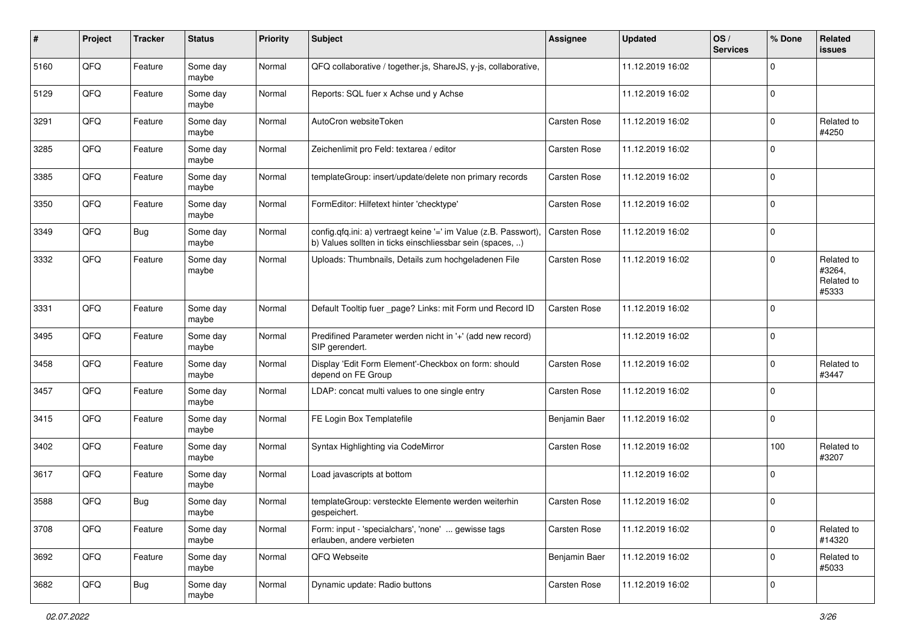| #    | Project | <b>Tracker</b> | <b>Status</b>     | <b>Priority</b> | Subject                                                                                                                       | Assignee            | <b>Updated</b>   | OS/<br><b>Services</b> | % Done         | Related<br>issues                           |
|------|---------|----------------|-------------------|-----------------|-------------------------------------------------------------------------------------------------------------------------------|---------------------|------------------|------------------------|----------------|---------------------------------------------|
| 5160 | QFQ     | Feature        | Some day<br>maybe | Normal          | QFQ collaborative / together.js, ShareJS, y-js, collaborative,                                                                |                     | 11.12.2019 16:02 |                        | $\mathbf 0$    |                                             |
| 5129 | QFQ     | Feature        | Some day<br>maybe | Normal          | Reports: SQL fuer x Achse und y Achse                                                                                         |                     | 11.12.2019 16:02 |                        | $\overline{0}$ |                                             |
| 3291 | QFQ     | Feature        | Some day<br>maybe | Normal          | AutoCron websiteToken                                                                                                         | Carsten Rose        | 11.12.2019 16:02 |                        | $\mathbf 0$    | Related to<br>#4250                         |
| 3285 | QFQ     | Feature        | Some day<br>maybe | Normal          | Zeichenlimit pro Feld: textarea / editor                                                                                      | <b>Carsten Rose</b> | 11.12.2019 16:02 |                        | $\overline{0}$ |                                             |
| 3385 | QFQ     | Feature        | Some day<br>maybe | Normal          | templateGroup: insert/update/delete non primary records                                                                       | <b>Carsten Rose</b> | 11.12.2019 16:02 |                        | $\overline{0}$ |                                             |
| 3350 | QFQ     | Feature        | Some day<br>maybe | Normal          | FormEditor: Hilfetext hinter 'checktype'                                                                                      | Carsten Rose        | 11.12.2019 16:02 |                        | $\overline{0}$ |                                             |
| 3349 | QFQ     | <b>Bug</b>     | Some day<br>maybe | Normal          | config.qfq.ini: a) vertraegt keine '=' im Value (z.B. Passwort).<br>b) Values sollten in ticks einschliessbar sein (spaces, ) | <b>Carsten Rose</b> | 11.12.2019 16:02 |                        | $\pmb{0}$      |                                             |
| 3332 | QFQ     | Feature        | Some day<br>maybe | Normal          | Uploads: Thumbnails, Details zum hochgeladenen File                                                                           | <b>Carsten Rose</b> | 11.12.2019 16:02 |                        | $\mathbf 0$    | Related to<br>#3264,<br>Related to<br>#5333 |
| 3331 | QFQ     | Feature        | Some day<br>maybe | Normal          | Default Tooltip fuer _page? Links: mit Form und Record ID                                                                     | <b>Carsten Rose</b> | 11.12.2019 16:02 |                        | $\overline{0}$ |                                             |
| 3495 | QFQ     | Feature        | Some day<br>maybe | Normal          | Predifined Parameter werden nicht in '+' (add new record)<br>SIP gerendert.                                                   |                     | 11.12.2019 16:02 |                        | $\mathbf 0$    |                                             |
| 3458 | QFQ     | Feature        | Some day<br>maybe | Normal          | Display 'Edit Form Element'-Checkbox on form: should<br>depend on FE Group                                                    | Carsten Rose        | 11.12.2019 16:02 |                        | $\overline{0}$ | Related to<br>#3447                         |
| 3457 | QFQ     | Feature        | Some day<br>maybe | Normal          | LDAP: concat multi values to one single entry                                                                                 | Carsten Rose        | 11.12.2019 16:02 |                        | $\overline{0}$ |                                             |
| 3415 | QFQ     | Feature        | Some day<br>maybe | Normal          | FE Login Box Templatefile                                                                                                     | Benjamin Baer       | 11.12.2019 16:02 |                        | $\overline{0}$ |                                             |
| 3402 | QFQ     | Feature        | Some day<br>maybe | Normal          | Syntax Highlighting via CodeMirror                                                                                            | Carsten Rose        | 11.12.2019 16:02 |                        | 100            | Related to<br>#3207                         |
| 3617 | QFQ     | Feature        | Some day<br>maybe | Normal          | Load javascripts at bottom                                                                                                    |                     | 11.12.2019 16:02 |                        | $\overline{0}$ |                                             |
| 3588 | QFQ     | Bug            | Some day<br>maybe | Normal          | templateGroup: versteckte Elemente werden weiterhin<br>gespeichert.                                                           | Carsten Rose        | 11.12.2019 16:02 |                        | $\overline{0}$ |                                             |
| 3708 | QFG     | Feature        | Some day<br>maybe | Normal          | Form: input - 'specialchars', 'none'  gewisse tags<br>erlauben, andere verbieten                                              | Carsten Rose        | 11.12.2019 16:02 |                        | $\mathbf 0$    | Related to<br>#14320                        |
| 3692 | QFG     | Feature        | Some day<br>maybe | Normal          | QFQ Webseite                                                                                                                  | Benjamin Baer       | 11.12.2019 16:02 |                        | $\mathbf 0$    | Related to<br>#5033                         |
| 3682 | QFG     | <b>Bug</b>     | Some day<br>maybe | Normal          | Dynamic update: Radio buttons                                                                                                 | Carsten Rose        | 11.12.2019 16:02 |                        | $\mathbf 0$    |                                             |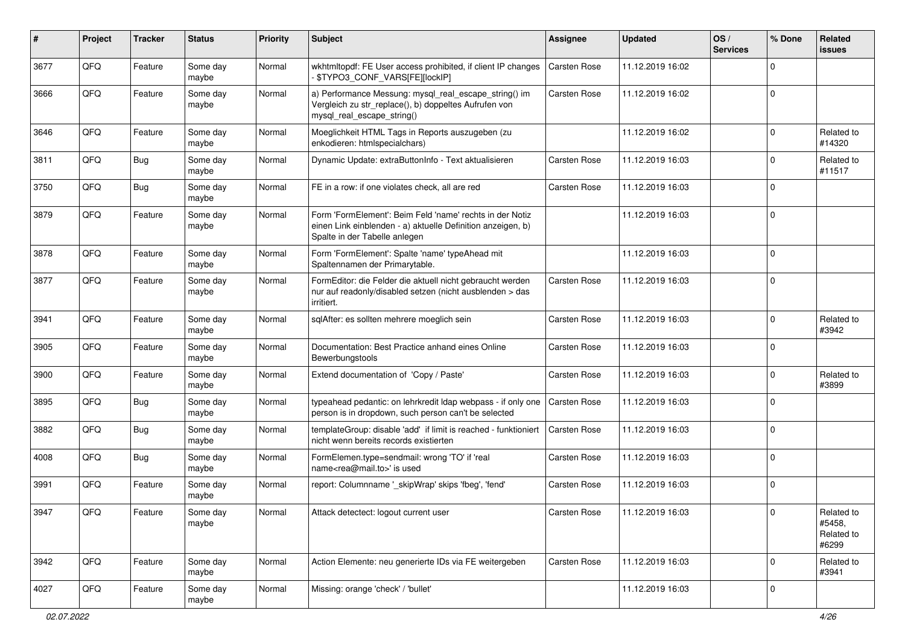| ∦    | Project | <b>Tracker</b> | <b>Status</b>     | <b>Priority</b> | <b>Subject</b>                                                                                                                                           | Assignee            | <b>Updated</b>   | OS/<br><b>Services</b> | % Done      | <b>Related</b><br>issues                    |
|------|---------|----------------|-------------------|-----------------|----------------------------------------------------------------------------------------------------------------------------------------------------------|---------------------|------------------|------------------------|-------------|---------------------------------------------|
| 3677 | QFQ     | Feature        | Some day<br>maybe | Normal          | wkhtmltopdf: FE User access prohibited, if client IP changes<br>\$TYPO3_CONF_VARS[FE][lockIP]                                                            | <b>Carsten Rose</b> | 11.12.2019 16:02 |                        | $\Omega$    |                                             |
| 3666 | QFQ     | Feature        | Some day<br>maybe | Normal          | a) Performance Messung: mysql_real_escape_string() im<br>Vergleich zu str_replace(), b) doppeltes Aufrufen von<br>mysql_real_escape_string()             | Carsten Rose        | 11.12.2019 16:02 |                        | $\mathbf 0$ |                                             |
| 3646 | QFQ     | Feature        | Some day<br>maybe | Normal          | Moeglichkeit HTML Tags in Reports auszugeben (zu<br>enkodieren: htmlspecialchars)                                                                        |                     | 11.12.2019 16:02 |                        | $\mathbf 0$ | Related to<br>#14320                        |
| 3811 | QFQ     | Bug            | Some day<br>maybe | Normal          | Dynamic Update: extraButtonInfo - Text aktualisieren                                                                                                     | Carsten Rose        | 11.12.2019 16:03 |                        | $\mathbf 0$ | Related to<br>#11517                        |
| 3750 | QFQ     | <b>Bug</b>     | Some day<br>maybe | Normal          | FE in a row: if one violates check, all are red                                                                                                          | Carsten Rose        | 11.12.2019 16:03 |                        | $\mathbf 0$ |                                             |
| 3879 | QFQ     | Feature        | Some day<br>maybe | Normal          | Form 'FormElement': Beim Feld 'name' rechts in der Notiz<br>einen Link einblenden - a) aktuelle Definition anzeigen, b)<br>Spalte in der Tabelle anlegen |                     | 11.12.2019 16:03 |                        | $\mathbf 0$ |                                             |
| 3878 | QFQ     | Feature        | Some day<br>maybe | Normal          | Form 'FormElement': Spalte 'name' typeAhead mit<br>Spaltennamen der Primarytable.                                                                        |                     | 11.12.2019 16:03 |                        | $\mathbf 0$ |                                             |
| 3877 | QFQ     | Feature        | Some day<br>maybe | Normal          | FormEditor: die Felder die aktuell nicht gebraucht werden<br>nur auf readonly/disabled setzen (nicht ausblenden > das<br>irritiert.                      | Carsten Rose        | 11.12.2019 16:03 |                        | $\mathbf 0$ |                                             |
| 3941 | QFQ     | Feature        | Some day<br>maybe | Normal          | sqlAfter: es sollten mehrere moeglich sein                                                                                                               | <b>Carsten Rose</b> | 11.12.2019 16:03 |                        | $\Omega$    | Related to<br>#3942                         |
| 3905 | QFQ     | Feature        | Some day<br>maybe | Normal          | Documentation: Best Practice anhand eines Online<br>Bewerbungstools                                                                                      | Carsten Rose        | 11.12.2019 16:03 |                        | $\Omega$    |                                             |
| 3900 | QFQ     | Feature        | Some day<br>maybe | Normal          | Extend documentation of 'Copy / Paste'                                                                                                                   | Carsten Rose        | 11.12.2019 16:03 |                        | $\mathbf 0$ | Related to<br>#3899                         |
| 3895 | QFQ     | <b>Bug</b>     | Some day<br>maybe | Normal          | typeahead pedantic: on lehrkredit Idap webpass - if only one<br>person is in dropdown, such person can't be selected                                     | <b>Carsten Rose</b> | 11.12.2019 16:03 |                        | $\mathbf 0$ |                                             |
| 3882 | QFQ     | Bug            | Some day<br>maybe | Normal          | templateGroup: disable 'add' if limit is reached - funktioniert<br>nicht wenn bereits records existierten                                                | <b>Carsten Rose</b> | 11.12.2019 16:03 |                        | $\Omega$    |                                             |
| 4008 | QFQ     | <b>Bug</b>     | Some day<br>maybe | Normal          | FormElemen.type=sendmail: wrong 'TO' if 'real<br>name <rea@mail.to>' is used</rea@mail.to>                                                               | Carsten Rose        | 11.12.2019 16:03 |                        | $\Omega$    |                                             |
| 3991 | QFQ     | Feature        | Some day<br>maybe | Normal          | report: Columnname '_skipWrap' skips 'fbeg', 'fend'                                                                                                      | <b>Carsten Rose</b> | 11.12.2019 16:03 |                        | $\Omega$    |                                             |
| 3947 | QFO     | Feature        | Some day<br>maybe | Normal          | Attack detectect: logout current user                                                                                                                    | Carsten Rose        | 11.12.2019 16:03 |                        |             | Related to<br>#5458.<br>Related to<br>#6299 |
| 3942 | QFQ     | Feature        | Some day<br>maybe | Normal          | Action Elemente: neu generierte IDs via FE weitergeben                                                                                                   | <b>Carsten Rose</b> | 11.12.2019 16:03 |                        | $\Omega$    | Related to<br>#3941                         |
| 4027 | QFQ     | Feature        | Some day<br>maybe | Normal          | Missing: orange 'check' / 'bullet'                                                                                                                       |                     | 11.12.2019 16:03 |                        | $\mathbf 0$ |                                             |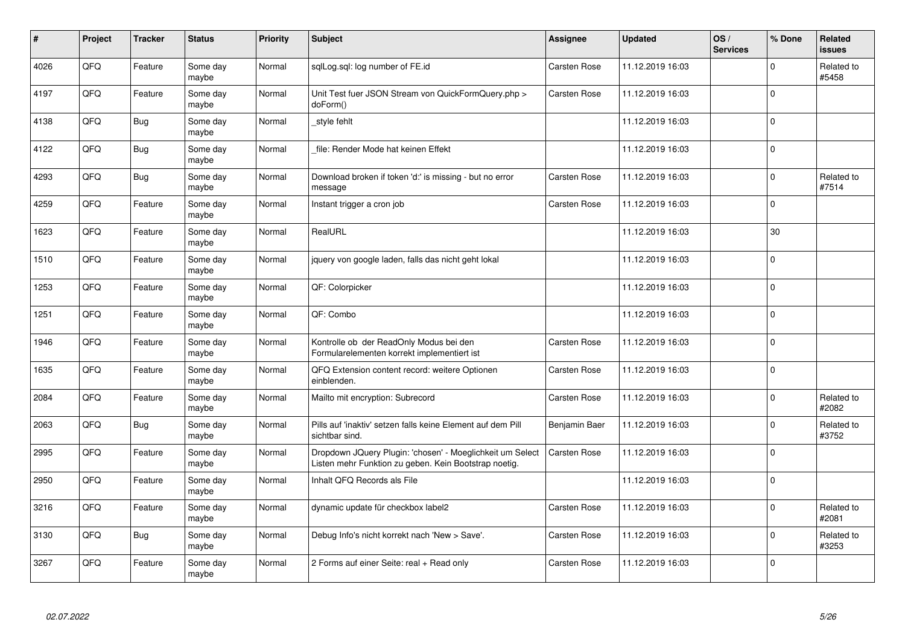| #    | Project | <b>Tracker</b> | <b>Status</b>     | <b>Priority</b> | <b>Subject</b>                                                                                                     | Assignee            | <b>Updated</b>   | OS/<br><b>Services</b> | % Done         | Related<br><b>issues</b> |
|------|---------|----------------|-------------------|-----------------|--------------------------------------------------------------------------------------------------------------------|---------------------|------------------|------------------------|----------------|--------------------------|
| 4026 | QFQ     | Feature        | Some day<br>maybe | Normal          | sglLog.sgl: log number of FE.id                                                                                    | <b>Carsten Rose</b> | 11.12.2019 16:03 |                        | $\overline{0}$ | Related to<br>#5458      |
| 4197 | QFQ     | Feature        | Some day<br>maybe | Normal          | Unit Test fuer JSON Stream von QuickFormQuery.php ><br>doForm()                                                    | Carsten Rose        | 11.12.2019 16:03 |                        | $\overline{0}$ |                          |
| 4138 | QFQ     | <b>Bug</b>     | Some day<br>maybe | Normal          | style fehlt                                                                                                        |                     | 11.12.2019 16:03 |                        | $\overline{0}$ |                          |
| 4122 | QFQ     | Bug            | Some day<br>maybe | Normal          | file: Render Mode hat keinen Effekt                                                                                |                     | 11.12.2019 16:03 |                        | $\overline{0}$ |                          |
| 4293 | QFQ     | <b>Bug</b>     | Some day<br>maybe | Normal          | Download broken if token 'd:' is missing - but no error<br>message                                                 | Carsten Rose        | 11.12.2019 16:03 |                        | $\mathbf 0$    | Related to<br>#7514      |
| 4259 | QFQ     | Feature        | Some day<br>maybe | Normal          | Instant trigger a cron job                                                                                         | Carsten Rose        | 11.12.2019 16:03 |                        | $\overline{0}$ |                          |
| 1623 | QFQ     | Feature        | Some day<br>maybe | Normal          | RealURL                                                                                                            |                     | 11.12.2019 16:03 |                        | 30             |                          |
| 1510 | QFQ     | Feature        | Some day<br>maybe | Normal          | jquery von google laden, falls das nicht geht lokal                                                                |                     | 11.12.2019 16:03 |                        | $\Omega$       |                          |
| 1253 | QFQ     | Feature        | Some day<br>maybe | Normal          | QF: Colorpicker                                                                                                    |                     | 11.12.2019 16:03 |                        | $\overline{0}$ |                          |
| 1251 | QFQ     | Feature        | Some day<br>maybe | Normal          | QF: Combo                                                                                                          |                     | 11.12.2019 16:03 |                        | $\mathbf 0$    |                          |
| 1946 | QFQ     | Feature        | Some day<br>maybe | Normal          | Kontrolle ob der ReadOnly Modus bei den<br>Formularelementen korrekt implementiert ist                             | Carsten Rose        | 11.12.2019 16:03 |                        | $\overline{0}$ |                          |
| 1635 | QFQ     | Feature        | Some day<br>maybe | Normal          | QFQ Extension content record: weitere Optionen<br>einblenden.                                                      | Carsten Rose        | 11.12.2019 16:03 |                        | $\overline{0}$ |                          |
| 2084 | QFQ     | Feature        | Some day<br>maybe | Normal          | Mailto mit encryption: Subrecord                                                                                   | Carsten Rose        | 11.12.2019 16:03 |                        | $\pmb{0}$      | Related to<br>#2082      |
| 2063 | QFQ     | <b>Bug</b>     | Some day<br>maybe | Normal          | Pills auf 'inaktiv' setzen falls keine Element auf dem Pill<br>sichtbar sind.                                      | Benjamin Baer       | 11.12.2019 16:03 |                        | $\overline{0}$ | Related to<br>#3752      |
| 2995 | QFQ     | Feature        | Some day<br>maybe | Normal          | Dropdown JQuery Plugin: 'chosen' - Moeglichkeit um Select<br>Listen mehr Funktion zu geben. Kein Bootstrap noetig. | <b>Carsten Rose</b> | 11.12.2019 16:03 |                        | $\overline{0}$ |                          |
| 2950 | QFQ     | Feature        | Some day<br>maybe | Normal          | Inhalt QFQ Records als File                                                                                        |                     | 11.12.2019 16:03 |                        | $\overline{0}$ |                          |
| 3216 | QFQ     | Feature        | Some day<br>maybe | Normal          | dynamic update für checkbox label2                                                                                 | <b>Carsten Rose</b> | 11.12.2019 16:03 |                        | $\mathbf 0$    | Related to<br>#2081      |
| 3130 | QFQ     | <b>Bug</b>     | Some day<br>maybe | Normal          | Debug Info's nicht korrekt nach 'New > Save'.                                                                      | <b>Carsten Rose</b> | 11.12.2019 16:03 |                        | $\pmb{0}$      | Related to<br>#3253      |
| 3267 | QFQ     | Feature        | Some day<br>maybe | Normal          | 2 Forms auf einer Seite: real + Read only                                                                          | Carsten Rose        | 11.12.2019 16:03 |                        | $\overline{0}$ |                          |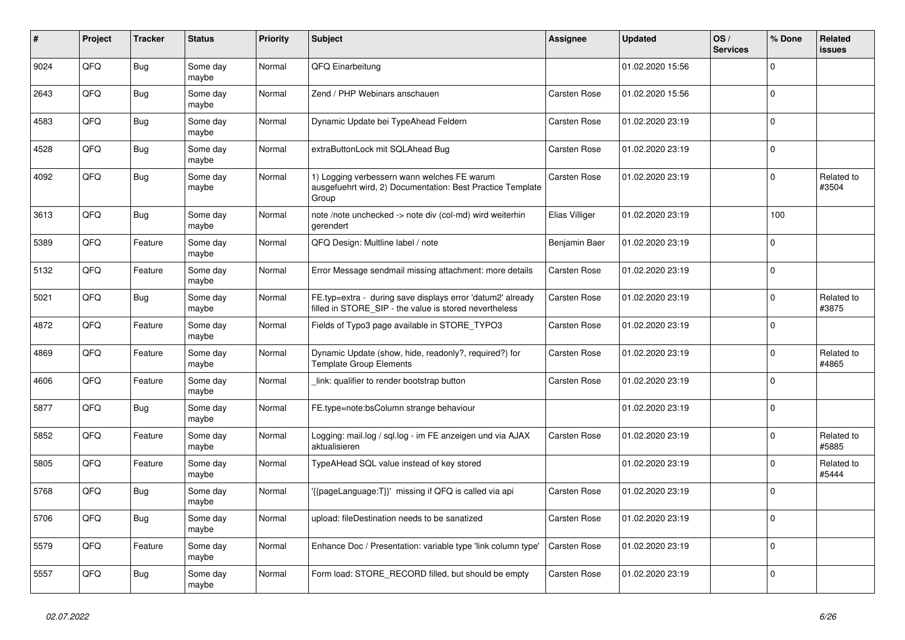| ∦    | Project | <b>Tracker</b> | <b>Status</b>     | <b>Priority</b> | <b>Subject</b>                                                                                                       | <b>Assignee</b>     | <b>Updated</b>   | OS/<br><b>Services</b> | % Done      | <b>Related</b><br><b>issues</b> |
|------|---------|----------------|-------------------|-----------------|----------------------------------------------------------------------------------------------------------------------|---------------------|------------------|------------------------|-------------|---------------------------------|
| 9024 | QFQ     | Bug            | Some day<br>maybe | Normal          | QFQ Einarbeitung                                                                                                     |                     | 01.02.2020 15:56 |                        | $\Omega$    |                                 |
| 2643 | QFQ     | <b>Bug</b>     | Some day<br>maybe | Normal          | Zend / PHP Webinars anschauen                                                                                        | <b>Carsten Rose</b> | 01.02.2020 15:56 |                        | $\mathbf 0$ |                                 |
| 4583 | QFQ     | Bug            | Some day<br>maybe | Normal          | Dynamic Update bei TypeAhead Feldern                                                                                 | <b>Carsten Rose</b> | 01.02.2020 23:19 |                        | $\Omega$    |                                 |
| 4528 | QFQ     | <b>Bug</b>     | Some day<br>maybe | Normal          | extraButtonLock mit SQLAhead Bug                                                                                     | <b>Carsten Rose</b> | 01.02.2020 23:19 |                        | $\Omega$    |                                 |
| 4092 | QFQ     | Bug            | Some day<br>maybe | Normal          | 1) Logging verbessern wann welches FE warum<br>ausgefuehrt wird, 2) Documentation: Best Practice Template<br>Group   | Carsten Rose        | 01.02.2020 23:19 |                        | $\mathbf 0$ | Related to<br>#3504             |
| 3613 | QFQ     | <b>Bug</b>     | Some day<br>maybe | Normal          | note /note unchecked -> note div (col-md) wird weiterhin<br>gerendert                                                | Elias Villiger      | 01.02.2020 23:19 |                        | 100         |                                 |
| 5389 | QFQ     | Feature        | Some day<br>maybe | Normal          | QFQ Design: Multline label / note                                                                                    | Benjamin Baer       | 01.02.2020 23:19 |                        | $\mathbf 0$ |                                 |
| 5132 | QFQ     | Feature        | Some day<br>maybe | Normal          | Error Message sendmail missing attachment: more details                                                              | <b>Carsten Rose</b> | 01.02.2020 23:19 |                        | $\mathbf 0$ |                                 |
| 5021 | QFQ     | <b>Bug</b>     | Some day<br>maybe | Normal          | FE.typ=extra - during save displays error 'datum2' already<br>filled in STORE SIP - the value is stored nevertheless | <b>Carsten Rose</b> | 01.02.2020 23:19 |                        | $\Omega$    | Related to<br>#3875             |
| 4872 | QFQ     | Feature        | Some day<br>maybe | Normal          | Fields of Typo3 page available in STORE_TYPO3                                                                        | Carsten Rose        | 01.02.2020 23:19 |                        | $\mathbf 0$ |                                 |
| 4869 | QFQ     | Feature        | Some day<br>maybe | Normal          | Dynamic Update (show, hide, readonly?, required?) for<br><b>Template Group Elements</b>                              | <b>Carsten Rose</b> | 01.02.2020 23:19 |                        | $\Omega$    | Related to<br>#4865             |
| 4606 | QFQ     | Feature        | Some day<br>maybe | Normal          | link: qualifier to render bootstrap button                                                                           | <b>Carsten Rose</b> | 01.02.2020 23:19 |                        | $\Omega$    |                                 |
| 5877 | QFQ     | <b>Bug</b>     | Some day<br>maybe | Normal          | FE.type=note:bsColumn strange behaviour                                                                              |                     | 01.02.2020 23:19 |                        | $\mathbf 0$ |                                 |
| 5852 | QFQ     | Feature        | Some day<br>maybe | Normal          | Logging: mail.log / sgl.log - im FE anzeigen und via AJAX<br>aktualisieren                                           | <b>Carsten Rose</b> | 01.02.2020 23:19 |                        | $\Omega$    | Related to<br>#5885             |
| 5805 | QFQ     | Feature        | Some day<br>maybe | Normal          | TypeAHead SQL value instead of key stored                                                                            |                     | 01.02.2020 23:19 |                        | $\mathbf 0$ | Related to<br>#5444             |
| 5768 | QFQ     | Bug            | Some day<br>maybe | Normal          | {{pageLanguage:T}}' missing if QFQ is called via api                                                                 | <b>Carsten Rose</b> | 01.02.2020 23:19 |                        | $\Omega$    |                                 |
| 5706 | QFQ     | <b>Bug</b>     | Some day<br>maybe | Normal          | upload: fileDestination needs to be sanatized                                                                        | <b>Carsten Rose</b> | 01.02.2020 23:19 |                        | $\Omega$    |                                 |
| 5579 | QFQ     | Feature        | Some day<br>maybe | Normal          | Enhance Doc / Presentation: variable type 'link column type'                                                         | <b>Carsten Rose</b> | 01.02.2020 23:19 |                        | $\mathbf 0$ |                                 |
| 5557 | QFQ     | <b>Bug</b>     | Some day<br>maybe | Normal          | Form load: STORE_RECORD filled, but should be empty                                                                  | Carsten Rose        | 01.02.2020 23:19 |                        | $\mathbf 0$ |                                 |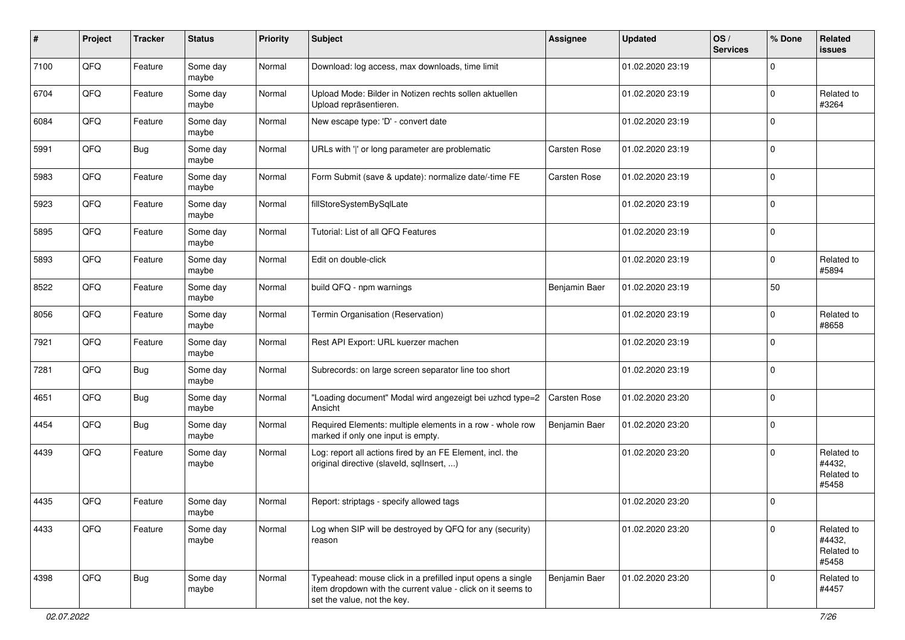| $\sharp$ | Project | <b>Tracker</b> | <b>Status</b>     | <b>Priority</b> | Subject                                                                                                                                                  | Assignee            | <b>Updated</b>   | OS/<br><b>Services</b> | % Done      | <b>Related</b><br>issues                    |
|----------|---------|----------------|-------------------|-----------------|----------------------------------------------------------------------------------------------------------------------------------------------------------|---------------------|------------------|------------------------|-------------|---------------------------------------------|
| 7100     | QFQ     | Feature        | Some day<br>maybe | Normal          | Download: log access, max downloads, time limit                                                                                                          |                     | 01.02.2020 23:19 |                        | $\Omega$    |                                             |
| 6704     | QFQ     | Feature        | Some day<br>maybe | Normal          | Upload Mode: Bilder in Notizen rechts sollen aktuellen<br>Upload repräsentieren.                                                                         |                     | 01.02.2020 23:19 |                        | $\mathbf 0$ | Related to<br>#3264                         |
| 6084     | QFQ     | Feature        | Some day<br>maybe | Normal          | New escape type: 'D' - convert date                                                                                                                      |                     | 01.02.2020 23:19 |                        | $\Omega$    |                                             |
| 5991     | QFQ     | Bug            | Some day<br>maybe | Normal          | URLs with ' ' or long parameter are problematic                                                                                                          | Carsten Rose        | 01.02.2020 23:19 |                        | $\mathbf 0$ |                                             |
| 5983     | QFQ     | Feature        | Some day<br>maybe | Normal          | Form Submit (save & update): normalize date/-time FE                                                                                                     | Carsten Rose        | 01.02.2020 23:19 |                        | $\mathbf 0$ |                                             |
| 5923     | QFQ     | Feature        | Some day<br>maybe | Normal          | fillStoreSystemBySqlLate                                                                                                                                 |                     | 01.02.2020 23:19 |                        | $\Omega$    |                                             |
| 5895     | QFQ     | Feature        | Some day<br>maybe | Normal          | Tutorial: List of all QFQ Features                                                                                                                       |                     | 01.02.2020 23:19 |                        | $\mathbf 0$ |                                             |
| 5893     | QFQ     | Feature        | Some day<br>maybe | Normal          | Edit on double-click                                                                                                                                     |                     | 01.02.2020 23:19 |                        | $\mathbf 0$ | Related to<br>#5894                         |
| 8522     | QFQ     | Feature        | Some day<br>maybe | Normal          | build QFQ - npm warnings                                                                                                                                 | Benjamin Baer       | 01.02.2020 23:19 |                        | 50          |                                             |
| 8056     | QFQ     | Feature        | Some day<br>maybe | Normal          | Termin Organisation (Reservation)                                                                                                                        |                     | 01.02.2020 23:19 |                        | $\Omega$    | Related to<br>#8658                         |
| 7921     | QFQ     | Feature        | Some day<br>maybe | Normal          | Rest API Export: URL kuerzer machen                                                                                                                      |                     | 01.02.2020 23:19 |                        | $\mathbf 0$ |                                             |
| 7281     | QFQ     | <b>Bug</b>     | Some day<br>maybe | Normal          | Subrecords: on large screen separator line too short                                                                                                     |                     | 01.02.2020 23:19 |                        | $\mathbf 0$ |                                             |
| 4651     | QFQ     | <b>Bug</b>     | Some day<br>maybe | Normal          | 'Loading document" Modal wird angezeigt bei uzhcd type=2<br>Ansicht                                                                                      | <b>Carsten Rose</b> | 01.02.2020 23:20 |                        | $\mathbf 0$ |                                             |
| 4454     | QFQ     | Bug            | Some day<br>maybe | Normal          | Required Elements: multiple elements in a row - whole row<br>marked if only one input is empty.                                                          | Benjamin Baer       | 01.02.2020 23:20 |                        | $\mathbf 0$ |                                             |
| 4439     | QFQ     | Feature        | Some day<br>maybe | Normal          | Log: report all actions fired by an FE Element, incl. the<br>original directive (slaveld, sqllnsert, )                                                   |                     | 01.02.2020 23:20 |                        | $\Omega$    | Related to<br>#4432,<br>Related to<br>#5458 |
| 4435     | QFQ     | Feature        | Some day<br>maybe | Normal          | Report: striptags - specify allowed tags                                                                                                                 |                     | 01.02.2020 23:20 |                        | $\Omega$    |                                             |
| 4433     | QFQ     | Feature        | Some day<br>maybe | Normal          | Log when SIP will be destroyed by QFQ for any (security)<br>reason                                                                                       |                     | 01.02.2020 23:20 |                        | $\Omega$    | Related to<br>#4432,<br>Related to<br>#5458 |
| 4398     | QFQ     | <b>Bug</b>     | Some day<br>maybe | Normal          | Typeahead: mouse click in a prefilled input opens a single<br>item dropdown with the current value - click on it seems to<br>set the value, not the key. | Benjamin Baer       | 01.02.2020 23:20 |                        | $\Omega$    | Related to<br>#4457                         |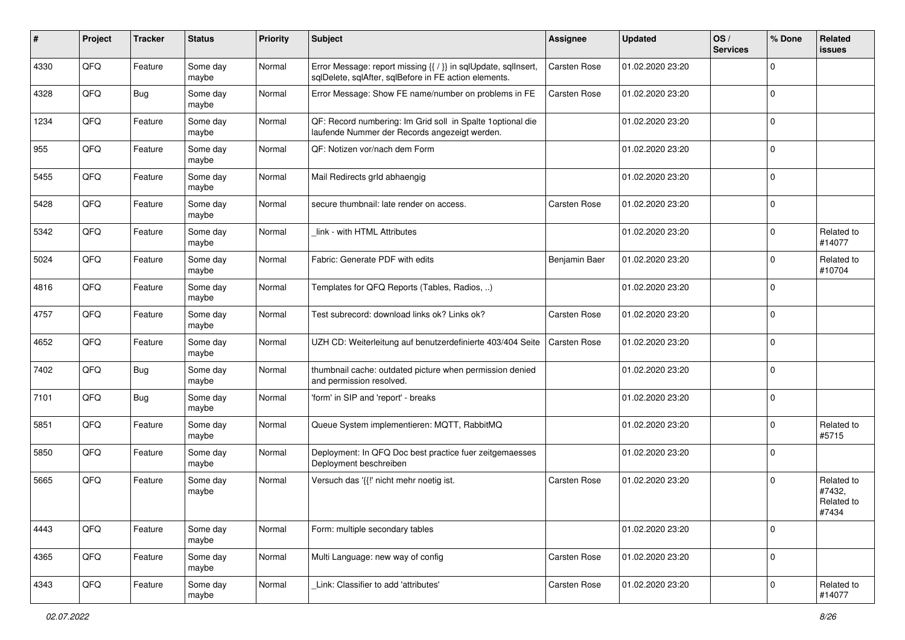| #    | Project | <b>Tracker</b> | <b>Status</b>     | <b>Priority</b> | Subject                                                                                                                 | Assignee            | <b>Updated</b>   | OS/<br><b>Services</b> | % Done         | Related<br><b>issues</b>                    |
|------|---------|----------------|-------------------|-----------------|-------------------------------------------------------------------------------------------------------------------------|---------------------|------------------|------------------------|----------------|---------------------------------------------|
| 4330 | QFQ     | Feature        | Some day<br>maybe | Normal          | Error Message: report missing {{ / }} in sqlUpdate, sqlInsert,<br>sqlDelete, sqlAfter, sqlBefore in FE action elements. | <b>Carsten Rose</b> | 01.02.2020 23:20 |                        | $\mathbf 0$    |                                             |
| 4328 | QFQ     | <b>Bug</b>     | Some day<br>maybe | Normal          | Error Message: Show FE name/number on problems in FE                                                                    | <b>Carsten Rose</b> | 01.02.2020 23:20 |                        | $\overline{0}$ |                                             |
| 1234 | QFQ     | Feature        | Some day<br>maybe | Normal          | QF: Record numbering: Im Grid soll in Spalte 1 optional die<br>laufende Nummer der Records angezeigt werden.            |                     | 01.02.2020 23:20 |                        | $\overline{0}$ |                                             |
| 955  | QFQ     | Feature        | Some day<br>maybe | Normal          | QF: Notizen vor/nach dem Form                                                                                           |                     | 01.02.2020 23:20 |                        | $\overline{0}$ |                                             |
| 5455 | QFQ     | Feature        | Some day<br>maybe | Normal          | Mail Redirects grld abhaengig                                                                                           |                     | 01.02.2020 23:20 |                        | $\overline{0}$ |                                             |
| 5428 | QFQ     | Feature        | Some day<br>maybe | Normal          | secure thumbnail: late render on access.                                                                                | Carsten Rose        | 01.02.2020 23:20 |                        | $\overline{0}$ |                                             |
| 5342 | QFQ     | Feature        | Some day<br>maybe | Normal          | link - with HTML Attributes                                                                                             |                     | 01.02.2020 23:20 |                        | $\mathbf 0$    | Related to<br>#14077                        |
| 5024 | QFQ     | Feature        | Some day<br>maybe | Normal          | Fabric: Generate PDF with edits                                                                                         | Benjamin Baer       | 01.02.2020 23:20 |                        | $\mathbf 0$    | Related to<br>#10704                        |
| 4816 | QFQ     | Feature        | Some day<br>maybe | Normal          | Templates for QFQ Reports (Tables, Radios, )                                                                            |                     | 01.02.2020 23:20 |                        | $\mathbf 0$    |                                             |
| 4757 | QFQ     | Feature        | Some day<br>maybe | Normal          | Test subrecord: download links ok? Links ok?                                                                            | Carsten Rose        | 01.02.2020 23:20 |                        | $\overline{0}$ |                                             |
| 4652 | QFQ     | Feature        | Some day<br>maybe | Normal          | UZH CD: Weiterleitung auf benutzerdefinierte 403/404 Seite                                                              | <b>Carsten Rose</b> | 01.02.2020 23:20 |                        | $\overline{0}$ |                                             |
| 7402 | QFQ     | Bug            | Some day<br>maybe | Normal          | thumbnail cache: outdated picture when permission denied<br>and permission resolved.                                    |                     | 01.02.2020 23:20 |                        | $\overline{0}$ |                                             |
| 7101 | QFQ     | Bug            | Some day<br>maybe | Normal          | 'form' in SIP and 'report' - breaks                                                                                     |                     | 01.02.2020 23:20 |                        | $\overline{0}$ |                                             |
| 5851 | QFQ     | Feature        | Some day<br>maybe | Normal          | Queue System implementieren: MQTT, RabbitMQ                                                                             |                     | 01.02.2020 23:20 |                        | $\mathbf 0$    | Related to<br>#5715                         |
| 5850 | QFQ     | Feature        | Some day<br>maybe | Normal          | Deployment: In QFQ Doc best practice fuer zeitgemaesses<br>Deployment beschreiben                                       |                     | 01.02.2020 23:20 |                        | $\mathbf 0$    |                                             |
| 5665 | QFQ     | Feature        | Some day<br>maybe | Normal          | Versuch das '{{!' nicht mehr noetig ist.                                                                                | Carsten Rose        | 01.02.2020 23:20 |                        | $\overline{0}$ | Related to<br>#7432,<br>Related to<br>#7434 |
| 4443 | QFQ     | Feature        | Some day<br>maybe | Normal          | Form: multiple secondary tables                                                                                         |                     | 01.02.2020 23:20 |                        | $\overline{0}$ |                                             |
| 4365 | QFQ     | Feature        | Some day<br>maybe | Normal          | Multi Language: new way of config                                                                                       | Carsten Rose        | 01.02.2020 23:20 |                        | $\mathbf 0$    |                                             |
| 4343 | QFQ     | Feature        | Some day<br>maybe | Normal          | Link: Classifier to add 'attributes'                                                                                    | Carsten Rose        | 01.02.2020 23:20 |                        | $\mathbf 0$    | Related to<br>#14077                        |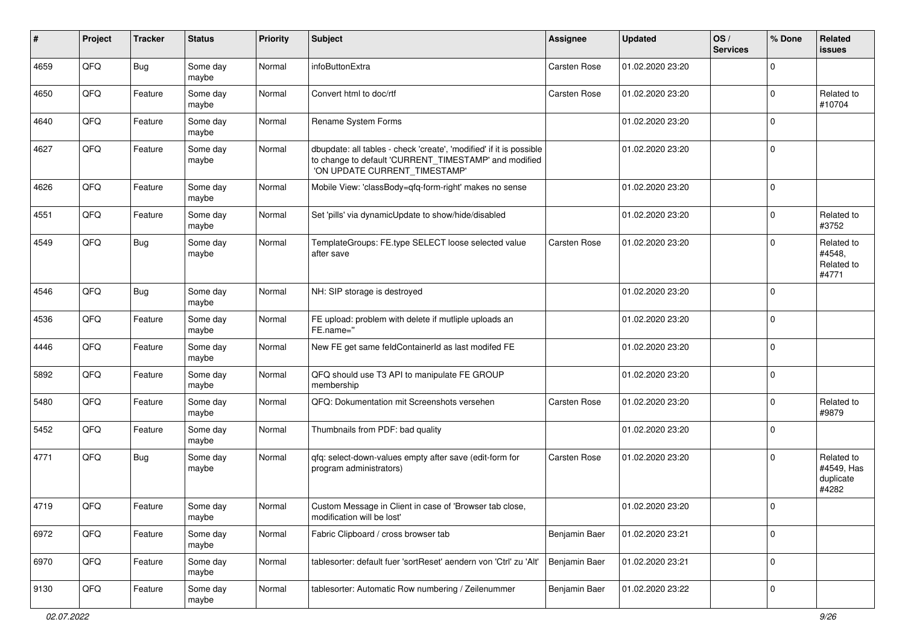| #    | Project | <b>Tracker</b> | <b>Status</b>     | Priority | <b>Subject</b>                                                                                                                                                | Assignee            | <b>Updated</b>   | OS/<br><b>Services</b> | % Done         | Related<br><b>issues</b>                       |
|------|---------|----------------|-------------------|----------|---------------------------------------------------------------------------------------------------------------------------------------------------------------|---------------------|------------------|------------------------|----------------|------------------------------------------------|
| 4659 | QFQ     | <b>Bug</b>     | Some day<br>maybe | Normal   | infoButtonExtra                                                                                                                                               | <b>Carsten Rose</b> | 01.02.2020 23:20 |                        | $\mathbf 0$    |                                                |
| 4650 | QFQ     | Feature        | Some day<br>maybe | Normal   | Convert html to doc/rtf                                                                                                                                       | Carsten Rose        | 01.02.2020 23:20 |                        | $\overline{0}$ | Related to<br>#10704                           |
| 4640 | QFQ     | Feature        | Some day<br>maybe | Normal   | Rename System Forms                                                                                                                                           |                     | 01.02.2020 23:20 |                        | $\mathbf 0$    |                                                |
| 4627 | QFQ     | Feature        | Some day<br>maybe | Normal   | dbupdate: all tables - check 'create', 'modified' if it is possible<br>to change to default 'CURRENT_TIMESTAMP' and modified<br>'ON UPDATE CURRENT_TIMESTAMP' |                     | 01.02.2020 23:20 |                        | $\overline{0}$ |                                                |
| 4626 | QFQ     | Feature        | Some day<br>maybe | Normal   | Mobile View: 'classBody=qfq-form-right' makes no sense                                                                                                        |                     | 01.02.2020 23:20 |                        | $\overline{0}$ |                                                |
| 4551 | QFQ     | Feature        | Some day<br>maybe | Normal   | Set 'pills' via dynamicUpdate to show/hide/disabled                                                                                                           |                     | 01.02.2020 23:20 |                        | $\mathbf 0$    | Related to<br>#3752                            |
| 4549 | QFQ     | <b>Bug</b>     | Some day<br>maybe | Normal   | TemplateGroups: FE.type SELECT loose selected value<br>after save                                                                                             | Carsten Rose        | 01.02.2020 23:20 |                        | $\overline{0}$ | Related to<br>#4548,<br>Related to<br>#4771    |
| 4546 | QFQ     | <b>Bug</b>     | Some day<br>maybe | Normal   | NH: SIP storage is destroyed                                                                                                                                  |                     | 01.02.2020 23:20 |                        | $\overline{0}$ |                                                |
| 4536 | QFQ     | Feature        | Some day<br>maybe | Normal   | FE upload: problem with delete if mutliple uploads an<br>FE.name="                                                                                            |                     | 01.02.2020 23:20 |                        | $\overline{0}$ |                                                |
| 4446 | QFQ     | Feature        | Some day<br>maybe | Normal   | New FE get same feldContainerId as last modifed FE                                                                                                            |                     | 01.02.2020 23:20 |                        | $\overline{0}$ |                                                |
| 5892 | QFQ     | Feature        | Some day<br>maybe | Normal   | QFQ should use T3 API to manipulate FE GROUP<br>membership                                                                                                    |                     | 01.02.2020 23:20 |                        | $\mathbf 0$    |                                                |
| 5480 | QFQ     | Feature        | Some day<br>maybe | Normal   | QFQ: Dokumentation mit Screenshots versehen                                                                                                                   | Carsten Rose        | 01.02.2020 23:20 |                        | 0              | Related to<br>#9879                            |
| 5452 | QFQ     | Feature        | Some day<br>maybe | Normal   | Thumbnails from PDF: bad quality                                                                                                                              |                     | 01.02.2020 23:20 |                        | $\mathbf{0}$   |                                                |
| 4771 | QFQ     | <b>Bug</b>     | Some day<br>maybe | Normal   | qfq: select-down-values empty after save (edit-form for<br>program administrators)                                                                            | <b>Carsten Rose</b> | 01.02.2020 23:20 |                        | $\mathbf 0$    | Related to<br>#4549, Has<br>duplicate<br>#4282 |
| 4719 | QFQ     | Feature        | Some day<br>maybe | Normal   | Custom Message in Client in case of 'Browser tab close,<br>modification will be lost'                                                                         |                     | 01.02.2020 23:20 |                        | $\overline{0}$ |                                                |
| 6972 | QFQ     | Feature        | Some day<br>maybe | Normal   | Fabric Clipboard / cross browser tab                                                                                                                          | Benjamin Baer       | 01.02.2020 23:21 |                        | $\mathbf 0$    |                                                |
| 6970 | QFQ     | Feature        | Some day<br>maybe | Normal   | tablesorter: default fuer 'sortReset' aendern von 'Ctrl' zu 'Alt'                                                                                             | Benjamin Baer       | 01.02.2020 23:21 |                        | $\mathbf 0$    |                                                |
| 9130 | QFQ     | Feature        | Some day<br>maybe | Normal   | tablesorter: Automatic Row numbering / Zeilenummer                                                                                                            | Benjamin Baer       | 01.02.2020 23:22 |                        | $\mathbf 0$    |                                                |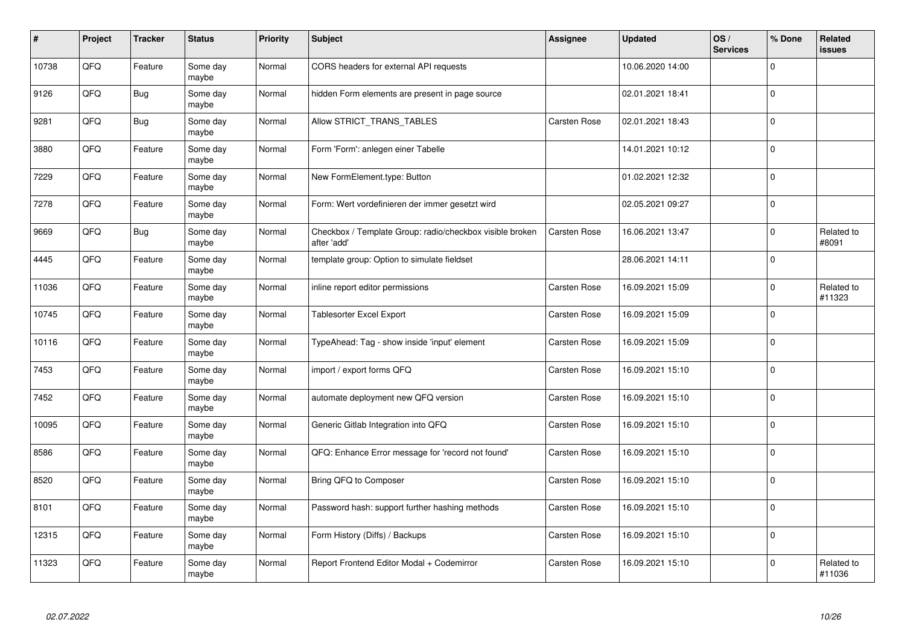| #     | Project | <b>Tracker</b> | <b>Status</b>     | <b>Priority</b> | <b>Subject</b>                                                          | Assignee            | <b>Updated</b>   | OS/<br><b>Services</b> | % Done         | <b>Related</b><br><b>issues</b> |
|-------|---------|----------------|-------------------|-----------------|-------------------------------------------------------------------------|---------------------|------------------|------------------------|----------------|---------------------------------|
| 10738 | QFQ     | Feature        | Some day<br>maybe | Normal          | CORS headers for external API requests                                  |                     | 10.06.2020 14:00 |                        | $\overline{0}$ |                                 |
| 9126  | QFQ     | <b>Bug</b>     | Some day<br>maybe | Normal          | hidden Form elements are present in page source                         |                     | 02.01.2021 18:41 |                        | $\overline{0}$ |                                 |
| 9281  | QFQ     | <b>Bug</b>     | Some day<br>maybe | Normal          | Allow STRICT_TRANS_TABLES                                               | Carsten Rose        | 02.01.2021 18:43 |                        | $\overline{0}$ |                                 |
| 3880  | QFQ     | Feature        | Some day<br>maybe | Normal          | Form 'Form': anlegen einer Tabelle                                      |                     | 14.01.2021 10:12 |                        | $\overline{0}$ |                                 |
| 7229  | QFQ     | Feature        | Some day<br>maybe | Normal          | New FormElement.type: Button                                            |                     | 01.02.2021 12:32 |                        | $\mathbf 0$    |                                 |
| 7278  | QFQ     | Feature        | Some day<br>maybe | Normal          | Form: Wert vordefinieren der immer gesetzt wird                         |                     | 02.05.2021 09:27 |                        | $\pmb{0}$      |                                 |
| 9669  | QFQ     | Bug            | Some day<br>maybe | Normal          | Checkbox / Template Group: radio/checkbox visible broken<br>after 'add' | Carsten Rose        | 16.06.2021 13:47 |                        | $\mathbf 0$    | Related to<br>#8091             |
| 4445  | QFQ     | Feature        | Some day<br>maybe | Normal          | template group: Option to simulate fieldset                             |                     | 28.06.2021 14:11 |                        | $\mathbf 0$    |                                 |
| 11036 | QFQ     | Feature        | Some day<br>maybe | Normal          | inline report editor permissions                                        | Carsten Rose        | 16.09.2021 15:09 |                        | $\pmb{0}$      | Related to<br>#11323            |
| 10745 | QFQ     | Feature        | Some day<br>maybe | Normal          | Tablesorter Excel Export                                                | Carsten Rose        | 16.09.2021 15:09 |                        | $\overline{0}$ |                                 |
| 10116 | QFQ     | Feature        | Some day<br>maybe | Normal          | TypeAhead: Tag - show inside 'input' element                            | Carsten Rose        | 16.09.2021 15:09 |                        | $\mathbf 0$    |                                 |
| 7453  | QFQ     | Feature        | Some day<br>maybe | Normal          | import / export forms QFQ                                               | Carsten Rose        | 16.09.2021 15:10 |                        | $\mathbf 0$    |                                 |
| 7452  | QFQ     | Feature        | Some day<br>maybe | Normal          | automate deployment new QFQ version                                     | <b>Carsten Rose</b> | 16.09.2021 15:10 |                        | $\overline{0}$ |                                 |
| 10095 | QFQ     | Feature        | Some day<br>maybe | Normal          | Generic Gitlab Integration into QFQ                                     | <b>Carsten Rose</b> | 16.09.2021 15:10 |                        | $\mathbf 0$    |                                 |
| 8586  | QFQ     | Feature        | Some day<br>maybe | Normal          | QFQ: Enhance Error message for 'record not found'                       | Carsten Rose        | 16.09.2021 15:10 |                        | $\pmb{0}$      |                                 |
| 8520  | QFQ     | Feature        | Some day<br>maybe | Normal          | Bring QFQ to Composer                                                   | Carsten Rose        | 16.09.2021 15:10 |                        | $\overline{0}$ |                                 |
| 8101  | QFQ     | Feature        | Some day<br>maybe | Normal          | Password hash: support further hashing methods                          | Carsten Rose        | 16.09.2021 15:10 |                        | $\mathbf{0}$   |                                 |
| 12315 | QFQ     | Feature        | Some day<br>maybe | Normal          | Form History (Diffs) / Backups                                          | Carsten Rose        | 16.09.2021 15:10 |                        | $\pmb{0}$      |                                 |
| 11323 | QFQ     | Feature        | Some day<br>maybe | Normal          | Report Frontend Editor Modal + Codemirror                               | Carsten Rose        | 16.09.2021 15:10 |                        | $\overline{0}$ | Related to<br>#11036            |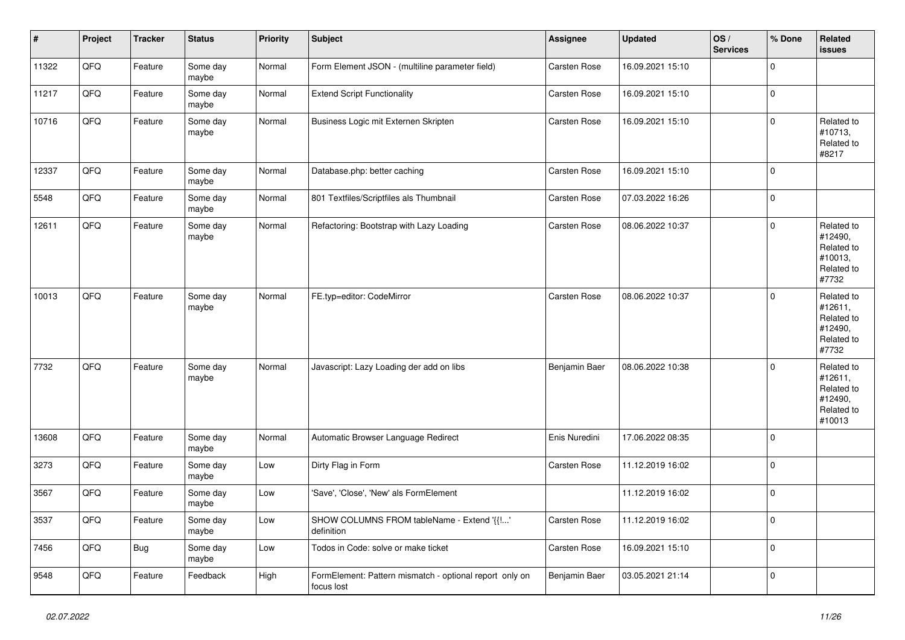| $\vert$ # | Project        | <b>Tracker</b> | <b>Status</b>     | <b>Priority</b> | <b>Subject</b>                                                        | Assignee            | <b>Updated</b>   | OS/<br><b>Services</b> | % Done      | <b>Related</b><br><b>issues</b>                                        |
|-----------|----------------|----------------|-------------------|-----------------|-----------------------------------------------------------------------|---------------------|------------------|------------------------|-------------|------------------------------------------------------------------------|
| 11322     | QFQ            | Feature        | Some day<br>maybe | Normal          | Form Element JSON - (multiline parameter field)                       | Carsten Rose        | 16.09.2021 15:10 |                        | $\mathbf 0$ |                                                                        |
| 11217     | QFQ            | Feature        | Some day<br>maybe | Normal          | <b>Extend Script Functionality</b>                                    | Carsten Rose        | 16.09.2021 15:10 |                        | $\mathbf 0$ |                                                                        |
| 10716     | QFQ            | Feature        | Some day<br>maybe | Normal          | Business Logic mit Externen Skripten                                  | Carsten Rose        | 16.09.2021 15:10 |                        | $\mathbf 0$ | Related to<br>#10713,<br>Related to<br>#8217                           |
| 12337     | QFQ            | Feature        | Some day<br>maybe | Normal          | Database.php: better caching                                          | <b>Carsten Rose</b> | 16.09.2021 15:10 |                        | $\mathbf 0$ |                                                                        |
| 5548      | QFQ            | Feature        | Some day<br>maybe | Normal          | 801 Textfiles/Scriptfiles als Thumbnail                               | Carsten Rose        | 07.03.2022 16:26 |                        | $\mathbf 0$ |                                                                        |
| 12611     | QFQ            | Feature        | Some day<br>maybe | Normal          | Refactoring: Bootstrap with Lazy Loading                              | <b>Carsten Rose</b> | 08.06.2022 10:37 |                        | $\mathbf 0$ | Related to<br>#12490,<br>Related to<br>#10013,<br>Related to<br>#7732  |
| 10013     | QFQ            | Feature        | Some day<br>maybe | Normal          | FE.typ=editor: CodeMirror                                             | <b>Carsten Rose</b> | 08.06.2022 10:37 |                        | $\mathbf 0$ | Related to<br>#12611,<br>Related to<br>#12490,<br>Related to<br>#7732  |
| 7732      | QFQ            | Feature        | Some day<br>maybe | Normal          | Javascript: Lazy Loading der add on libs                              | Benjamin Baer       | 08.06.2022 10:38 |                        | $\mathbf 0$ | Related to<br>#12611,<br>Related to<br>#12490,<br>Related to<br>#10013 |
| 13608     | QFQ            | Feature        | Some day<br>maybe | Normal          | Automatic Browser Language Redirect                                   | Enis Nuredini       | 17.06.2022 08:35 |                        | $\mathbf 0$ |                                                                        |
| 3273      | QFQ            | Feature        | Some day<br>maybe | Low             | Dirty Flag in Form                                                    | <b>Carsten Rose</b> | 11.12.2019 16:02 |                        | $\mathbf 0$ |                                                                        |
| 3567      | QFQ            | Feature        | Some day<br>maybe | Low             | 'Save', 'Close', 'New' als FormElement                                |                     | 11.12.2019 16:02 |                        | $\mathbf 0$ |                                                                        |
| 3537      | $\mathsf{QFQ}$ | Feature        | Some day<br>maybe | Low             | SHOW COLUMNS FROM tableName - Extend '{{!'<br>definition              | Carsten Rose        | 11.12.2019 16:02 |                        | 0           |                                                                        |
| 7456      | QFG            | <b>Bug</b>     | Some day<br>maybe | Low             | Todos in Code: solve or make ticket                                   | Carsten Rose        | 16.09.2021 15:10 |                        | $\mathbf 0$ |                                                                        |
| 9548      | QFQ            | Feature        | Feedback          | High            | FormElement: Pattern mismatch - optional report only on<br>focus lost | Benjamin Baer       | 03.05.2021 21:14 |                        | $\mathbf 0$ |                                                                        |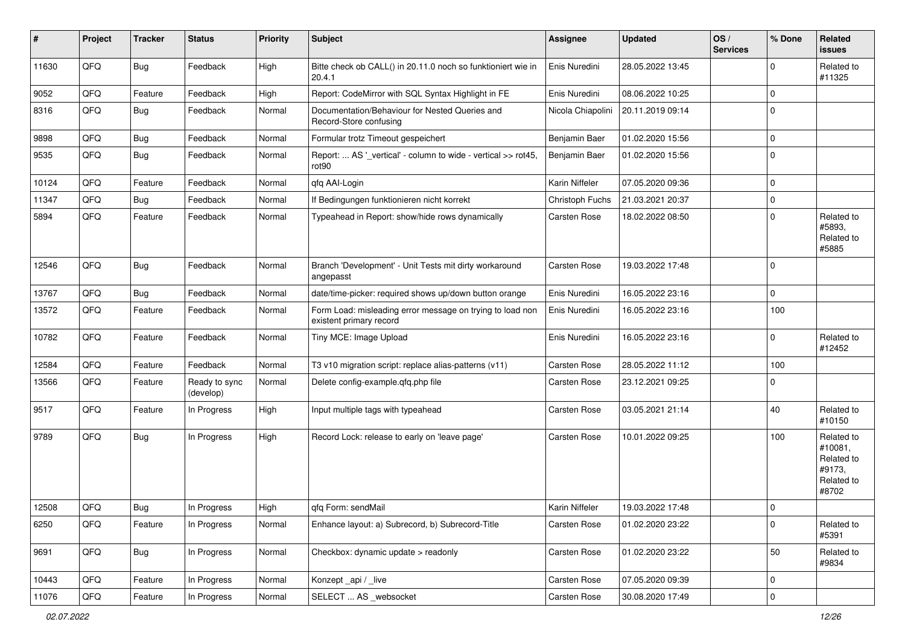| #     | Project | <b>Tracker</b> | <b>Status</b>              | <b>Priority</b> | <b>Subject</b>                                                                       | Assignee          | <b>Updated</b>   | OS/<br><b>Services</b> | % Done      | <b>Related</b><br><b>issues</b>                                      |
|-------|---------|----------------|----------------------------|-----------------|--------------------------------------------------------------------------------------|-------------------|------------------|------------------------|-------------|----------------------------------------------------------------------|
| 11630 | QFQ     | Bug            | Feedback                   | High            | Bitte check ob CALL() in 20.11.0 noch so funktioniert wie in<br>20.4.1               | Enis Nuredini     | 28.05.2022 13:45 |                        | $\mathbf 0$ | Related to<br>#11325                                                 |
| 9052  | QFQ     | Feature        | Feedback                   | High            | Report: CodeMirror with SQL Syntax Highlight in FE                                   | Enis Nuredini     | 08.06.2022 10:25 |                        | $\mathbf 0$ |                                                                      |
| 8316  | QFQ     | <b>Bug</b>     | Feedback                   | Normal          | Documentation/Behaviour for Nested Queries and<br>Record-Store confusing             | Nicola Chiapolini | 20.11.2019 09:14 |                        | $\mathbf 0$ |                                                                      |
| 9898  | QFQ     | Bug            | Feedback                   | Normal          | Formular trotz Timeout gespeichert                                                   | Benjamin Baer     | 01.02.2020 15:56 |                        | $\mathbf 0$ |                                                                      |
| 9535  | QFQ     | Bug            | Feedback                   | Normal          | Report:  AS '_vertical' - column to wide - vertical >> rot45,<br>rot90               | Benjamin Baer     | 01.02.2020 15:56 |                        | $\mathbf 0$ |                                                                      |
| 10124 | QFQ     | Feature        | Feedback                   | Normal          | qfq AAI-Login                                                                        | Karin Niffeler    | 07.05.2020 09:36 |                        | $\mathbf 0$ |                                                                      |
| 11347 | QFQ     | Bug            | Feedback                   | Normal          | If Bedingungen funktionieren nicht korrekt                                           | Christoph Fuchs   | 21.03.2021 20:37 |                        | $\mathbf 0$ |                                                                      |
| 5894  | QFQ     | Feature        | Feedback                   | Normal          | Typeahead in Report: show/hide rows dynamically                                      | Carsten Rose      | 18.02.2022 08:50 |                        | $\Omega$    | Related to<br>#5893.<br>Related to<br>#5885                          |
| 12546 | QFQ     | Bug            | Feedback                   | Normal          | Branch 'Development' - Unit Tests mit dirty workaround<br>angepasst                  | Carsten Rose      | 19.03.2022 17:48 |                        | $\mathbf 0$ |                                                                      |
| 13767 | QFQ     | <b>Bug</b>     | Feedback                   | Normal          | date/time-picker: required shows up/down button orange                               | Enis Nuredini     | 16.05.2022 23:16 |                        | $\mathbf 0$ |                                                                      |
| 13572 | QFQ     | Feature        | Feedback                   | Normal          | Form Load: misleading error message on trying to load non<br>existent primary record | Enis Nuredini     | 16.05.2022 23:16 |                        | 100         |                                                                      |
| 10782 | QFQ     | Feature        | Feedback                   | Normal          | Tiny MCE: Image Upload                                                               | Enis Nuredini     | 16.05.2022 23:16 |                        | $\mathbf 0$ | Related to<br>#12452                                                 |
| 12584 | QFQ     | Feature        | Feedback                   | Normal          | T3 v10 migration script: replace alias-patterns (v11)                                | Carsten Rose      | 28.05.2022 11:12 |                        | 100         |                                                                      |
| 13566 | QFQ     | Feature        | Ready to sync<br>(develop) | Normal          | Delete config-example.qfq.php file                                                   | Carsten Rose      | 23.12.2021 09:25 |                        | $\mathbf 0$ |                                                                      |
| 9517  | QFQ     | Feature        | In Progress                | High            | Input multiple tags with typeahead                                                   | Carsten Rose      | 03.05.2021 21:14 |                        | 40          | Related to<br>#10150                                                 |
| 9789  | QFQ     | <b>Bug</b>     | In Progress                | High            | Record Lock: release to early on 'leave page'                                        | Carsten Rose      | 10.01.2022 09:25 |                        | 100         | Related to<br>#10081,<br>Related to<br>#9173,<br>Related to<br>#8702 |
| 12508 | QFQ     | Bug            | In Progress                | Hiah            | gfg Form: sendMail                                                                   | Karin Niffeler    | 19.03.2022 17:48 |                        | $\Omega$    |                                                                      |
| 6250  | QFQ     | Feature        | In Progress                | Normal          | Enhance layout: a) Subrecord, b) Subrecord-Title                                     | Carsten Rose      | 01.02.2020 23:22 |                        | $\mathbf 0$ | Related to<br>#5391                                                  |
| 9691  | QFQ     | <b>Bug</b>     | In Progress                | Normal          | Checkbox: dynamic update > readonly                                                  | Carsten Rose      | 01.02.2020 23:22 |                        | 50          | Related to<br>#9834                                                  |
| 10443 | QFQ     | Feature        | In Progress                | Normal          | Konzept_api / _live                                                                  | Carsten Rose      | 07.05.2020 09:39 |                        | 0           |                                                                      |
| 11076 | QFQ     | Feature        | In Progress                | Normal          | SELECT  AS _websocket                                                                | Carsten Rose      | 30.08.2020 17:49 |                        | $\mathbf 0$ |                                                                      |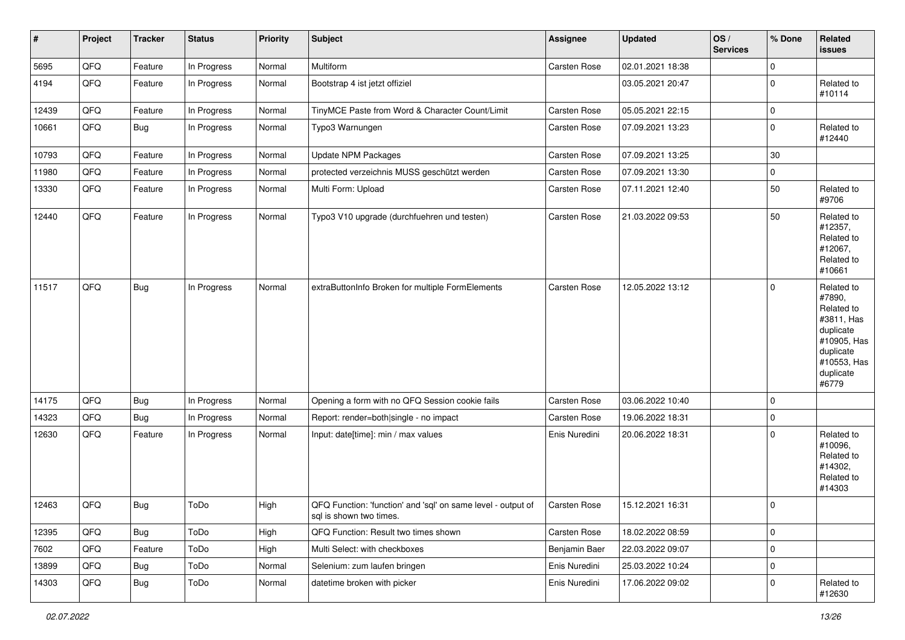| $\sharp$ | Project | <b>Tracker</b> | <b>Status</b> | <b>Priority</b> | <b>Subject</b>                                                                          | <b>Assignee</b> | <b>Updated</b>   | OS/<br><b>Services</b> | % Done      | Related<br>issues                                                                                                              |
|----------|---------|----------------|---------------|-----------------|-----------------------------------------------------------------------------------------|-----------------|------------------|------------------------|-------------|--------------------------------------------------------------------------------------------------------------------------------|
| 5695     | QFQ     | Feature        | In Progress   | Normal          | Multiform                                                                               | Carsten Rose    | 02.01.2021 18:38 |                        | $\mathbf 0$ |                                                                                                                                |
| 4194     | QFQ     | Feature        | In Progress   | Normal          | Bootstrap 4 ist jetzt offiziel                                                          |                 | 03.05.2021 20:47 |                        | $\mathbf 0$ | Related to<br>#10114                                                                                                           |
| 12439    | QFQ     | Feature        | In Progress   | Normal          | TinyMCE Paste from Word & Character Count/Limit                                         | Carsten Rose    | 05.05.2021 22:15 |                        | $\mathbf 0$ |                                                                                                                                |
| 10661    | QFQ     | <b>Bug</b>     | In Progress   | Normal          | Typo3 Warnungen                                                                         | Carsten Rose    | 07.09.2021 13:23 |                        | $\mathbf 0$ | Related to<br>#12440                                                                                                           |
| 10793    | QFQ     | Feature        | In Progress   | Normal          | <b>Update NPM Packages</b>                                                              | Carsten Rose    | 07.09.2021 13:25 |                        | 30          |                                                                                                                                |
| 11980    | QFQ     | Feature        | In Progress   | Normal          | protected verzeichnis MUSS geschützt werden                                             | Carsten Rose    | 07.09.2021 13:30 |                        | $\mathbf 0$ |                                                                                                                                |
| 13330    | QFQ     | Feature        | In Progress   | Normal          | Multi Form: Upload                                                                      | Carsten Rose    | 07.11.2021 12:40 |                        | 50          | Related to<br>#9706                                                                                                            |
| 12440    | QFQ     | Feature        | In Progress   | Normal          | Typo3 V10 upgrade (durchfuehren und testen)                                             | Carsten Rose    | 21.03.2022 09:53 |                        | 50          | Related to<br>#12357,<br>Related to<br>#12067,<br>Related to<br>#10661                                                         |
| 11517    | QFQ     | Bug            | In Progress   | Normal          | extraButtonInfo Broken for multiple FormElements                                        | Carsten Rose    | 12.05.2022 13:12 |                        | $\mathbf 0$ | Related to<br>#7890,<br>Related to<br>#3811, Has<br>duplicate<br>#10905, Has<br>duplicate<br>#10553, Has<br>duplicate<br>#6779 |
| 14175    | QFQ     | <b>Bug</b>     | In Progress   | Normal          | Opening a form with no QFQ Session cookie fails                                         | Carsten Rose    | 03.06.2022 10:40 |                        | $\mathbf 0$ |                                                                                                                                |
| 14323    | QFQ     | Bug            | In Progress   | Normal          | Report: render=both single - no impact                                                  | Carsten Rose    | 19.06.2022 18:31 |                        | $\mathbf 0$ |                                                                                                                                |
| 12630    | QFQ     | Feature        | In Progress   | Normal          | Input: date[time]: min / max values                                                     | Enis Nuredini   | 20.06.2022 18:31 |                        | $\mathbf 0$ | Related to<br>#10096,<br>Related to<br>#14302,<br>Related to<br>#14303                                                         |
| 12463    | QFQ     | Bug            | ToDo          | High            | QFQ Function: 'function' and 'sql' on same level - output of<br>sql is shown two times. | Carsten Rose    | 15.12.2021 16:31 |                        | $\mathbf 0$ |                                                                                                                                |
| 12395    | QFQ     | <b>Bug</b>     | ToDo          | High            | QFQ Function: Result two times shown                                                    | Carsten Rose    | 18.02.2022 08:59 |                        | $\pmb{0}$   |                                                                                                                                |
| 7602     | QFQ     | Feature        | ToDo          | High            | Multi Select: with checkboxes                                                           | Benjamin Baer   | 22.03.2022 09:07 |                        | $\mathbf 0$ |                                                                                                                                |
| 13899    | QFQ     | <b>Bug</b>     | ToDo          | Normal          | Selenium: zum laufen bringen                                                            | Enis Nuredini   | 25.03.2022 10:24 |                        | $\pmb{0}$   |                                                                                                                                |
| 14303    | QFG     | Bug            | ToDo          | Normal          | datetime broken with picker                                                             | Enis Nuredini   | 17.06.2022 09:02 |                        | $\pmb{0}$   | Related to<br>#12630                                                                                                           |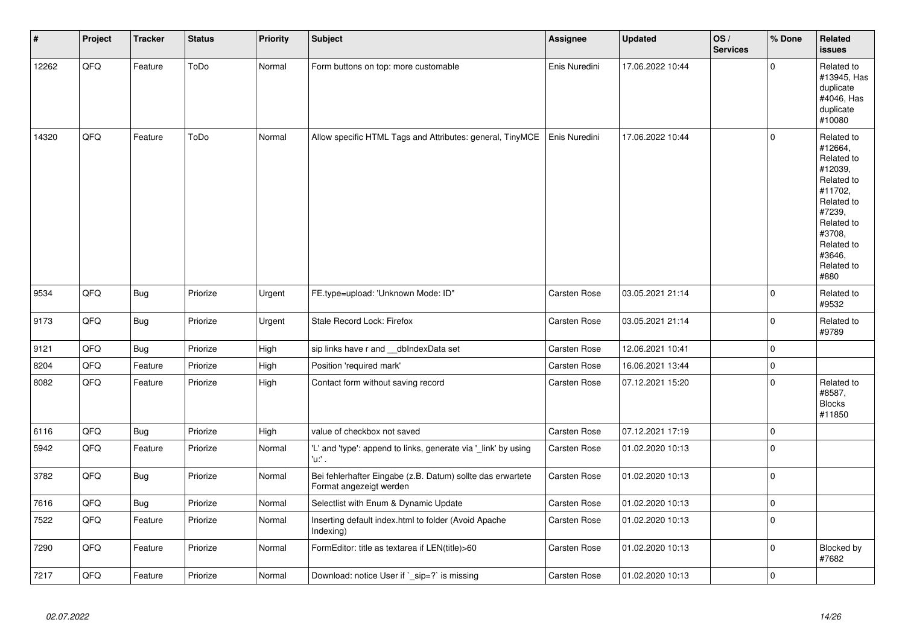| $\vert$ # | Project | <b>Tracker</b> | <b>Status</b> | <b>Priority</b> | Subject                                                                               | Assignee      | <b>Updated</b>   | OS/<br><b>Services</b> | % Done      | Related<br>issues                                                                                                                                                     |
|-----------|---------|----------------|---------------|-----------------|---------------------------------------------------------------------------------------|---------------|------------------|------------------------|-------------|-----------------------------------------------------------------------------------------------------------------------------------------------------------------------|
| 12262     | QFQ     | Feature        | ToDo          | Normal          | Form buttons on top: more customable                                                  | Enis Nuredini | 17.06.2022 10:44 |                        | $\mathbf 0$ | Related to<br>#13945, Has<br>duplicate<br>#4046, Has<br>duplicate<br>#10080                                                                                           |
| 14320     | QFQ     | Feature        | ToDo          | Normal          | Allow specific HTML Tags and Attributes: general, TinyMCE                             | Enis Nuredini | 17.06.2022 10:44 |                        | 0           | Related to<br>#12664,<br>Related to<br>#12039,<br>Related to<br>#11702,<br>Related to<br>#7239.<br>Related to<br>#3708.<br>Related to<br>#3646,<br>Related to<br>#880 |
| 9534      | QFQ     | <b>Bug</b>     | Priorize      | Urgent          | FE.type=upload: 'Unknown Mode: ID"                                                    | Carsten Rose  | 03.05.2021 21:14 |                        | 0           | Related to<br>#9532                                                                                                                                                   |
| 9173      | QFQ     | Bug            | Priorize      | Urgent          | Stale Record Lock: Firefox                                                            | Carsten Rose  | 03.05.2021 21:14 |                        | $\pmb{0}$   | Related to<br>#9789                                                                                                                                                   |
| 9121      | QFQ     | <b>Bug</b>     | Priorize      | High            | sip links have r and __dbIndexData set                                                | Carsten Rose  | 12.06.2021 10:41 |                        | $\pmb{0}$   |                                                                                                                                                                       |
| 8204      | QFQ     | Feature        | Priorize      | High            | Position 'required mark'                                                              | Carsten Rose  | 16.06.2021 13:44 |                        | $\pmb{0}$   |                                                                                                                                                                       |
| 8082      | QFQ     | Feature        | Priorize      | High            | Contact form without saving record                                                    | Carsten Rose  | 07.12.2021 15:20 |                        | 0           | Related to<br>#8587,<br><b>Blocks</b><br>#11850                                                                                                                       |
| 6116      | QFQ     | <b>Bug</b>     | Priorize      | High            | value of checkbox not saved                                                           | Carsten Rose  | 07.12.2021 17:19 |                        | $\pmb{0}$   |                                                                                                                                                                       |
| 5942      | QFQ     | Feature        | Priorize      | Normal          | 'L' and 'type': append to links, generate via '_link' by using<br>'u:' .              | Carsten Rose  | 01.02.2020 10:13 |                        | $\pmb{0}$   |                                                                                                                                                                       |
| 3782      | QFQ     | <b>Bug</b>     | Priorize      | Normal          | Bei fehlerhafter Eingabe (z.B. Datum) sollte das erwartete<br>Format angezeigt werden | Carsten Rose  | 01.02.2020 10:13 |                        | $\pmb{0}$   |                                                                                                                                                                       |
| 7616      | QFQ     | <b>Bug</b>     | Priorize      | Normal          | Selectlist with Enum & Dynamic Update                                                 | Carsten Rose  | 01.02.2020 10:13 |                        | $\pmb{0}$   |                                                                                                                                                                       |
| 7522      | QFQ     | Feature        | Priorize      | Normal          | Inserting default index.html to folder (Avoid Apache<br>Indexing)                     | Carsten Rose  | 01.02.2020 10:13 |                        | $\pmb{0}$   |                                                                                                                                                                       |
| 7290      | QFQ     | Feature        | Priorize      | Normal          | FormEditor: title as textarea if LEN(title)>60                                        | Carsten Rose  | 01.02.2020 10:13 |                        | $\pmb{0}$   | Blocked by<br>#7682                                                                                                                                                   |
| 7217      | QFQ     | Feature        | Priorize      | Normal          | Download: notice User if `_sip=?` is missing                                          | Carsten Rose  | 01.02.2020 10:13 |                        | $\pmb{0}$   |                                                                                                                                                                       |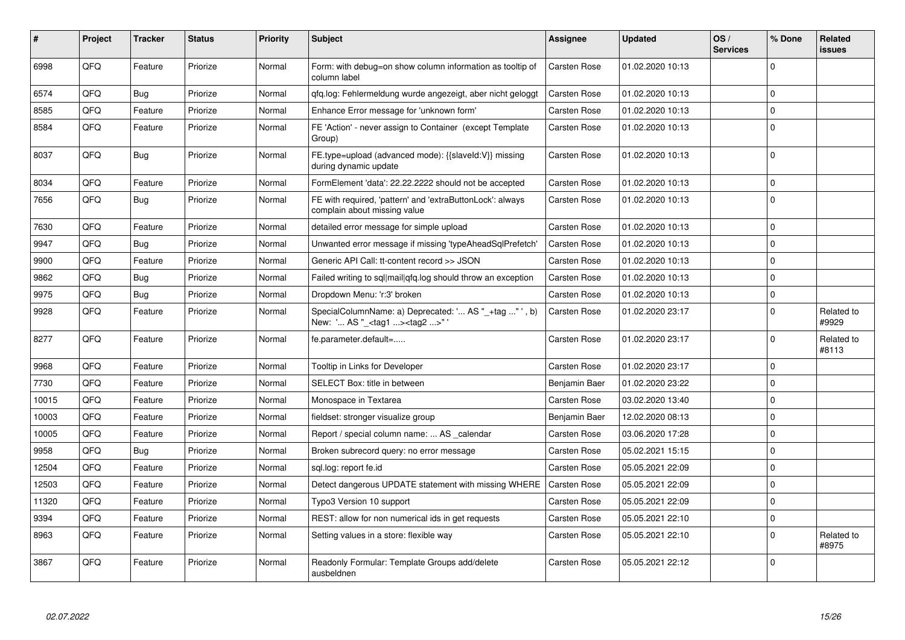| #     | <b>Project</b> | <b>Tracker</b> | <b>Status</b> | Priority | <b>Subject</b>                                                                                     | <b>Assignee</b>     | <b>Updated</b>   | OS/<br><b>Services</b> | % Done       | Related<br>issues   |
|-------|----------------|----------------|---------------|----------|----------------------------------------------------------------------------------------------------|---------------------|------------------|------------------------|--------------|---------------------|
| 6998  | QFQ            | Feature        | Priorize      | Normal   | Form: with debug=on show column information as tooltip of<br>column label                          | Carsten Rose        | 01.02.2020 10:13 |                        | $\Omega$     |                     |
| 6574  | QFQ            | <b>Bug</b>     | Priorize      | Normal   | qfq.log: Fehlermeldung wurde angezeigt, aber nicht geloggt                                         | <b>Carsten Rose</b> | 01.02.2020 10:13 |                        | $\Omega$     |                     |
| 8585  | QFQ            | Feature        | Priorize      | Normal   | Enhance Error message for 'unknown form'                                                           | Carsten Rose        | 01.02.2020 10:13 |                        | $\Omega$     |                     |
| 8584  | QFQ            | Feature        | Priorize      | Normal   | FE 'Action' - never assign to Container (except Template<br>Group)                                 | <b>Carsten Rose</b> | 01.02.2020 10:13 |                        | $\mathbf 0$  |                     |
| 8037  | QFQ            | <b>Bug</b>     | Priorize      | Normal   | FE.type=upload (advanced mode): {{slaveld:V}} missing<br>during dynamic update                     | <b>Carsten Rose</b> | 01.02.2020 10:13 |                        | $\Omega$     |                     |
| 8034  | QFQ            | Feature        | Priorize      | Normal   | FormElement 'data': 22.22.2222 should not be accepted                                              | Carsten Rose        | 01.02.2020 10:13 |                        | $\Omega$     |                     |
| 7656  | QFQ            | Bug            | Priorize      | Normal   | FE with required, 'pattern' and 'extraButtonLock': always<br>complain about missing value          | <b>Carsten Rose</b> | 01.02.2020 10:13 |                        | $\Omega$     |                     |
| 7630  | QFQ            | Feature        | Priorize      | Normal   | detailed error message for simple upload                                                           | Carsten Rose        | 01.02.2020 10:13 |                        | $\Omega$     |                     |
| 9947  | QFQ            | Bug            | Priorize      | Normal   | Unwanted error message if missing 'typeAheadSqlPrefetch'                                           | <b>Carsten Rose</b> | 01.02.2020 10:13 |                        | $\mathbf 0$  |                     |
| 9900  | QFQ            | Feature        | Priorize      | Normal   | Generic API Call: tt-content record >> JSON                                                        | <b>Carsten Rose</b> | 01.02.2020 10:13 |                        | $\mathbf{0}$ |                     |
| 9862  | QFQ            | <b>Bug</b>     | Priorize      | Normal   | Failed writing to sql mail qfq.log should throw an exception                                       | Carsten Rose        | 01.02.2020 10:13 |                        | $\Omega$     |                     |
| 9975  | QFQ            | Bug            | Priorize      | Normal   | Dropdown Menu: 'r:3' broken                                                                        | <b>Carsten Rose</b> | 01.02.2020 10:13 |                        | $\mathbf 0$  |                     |
| 9928  | QFQ            | Feature        | Priorize      | Normal   | SpecialColumnName: a) Deprecated: ' AS "_+tag " ', b)<br>New: ' AS "_ <tag1><tag2>"'</tag2></tag1> | <b>Carsten Rose</b> | 01.02.2020 23:17 |                        | $\Omega$     | Related to<br>#9929 |
| 8277  | QFQ            | Feature        | Priorize      | Normal   | fe.parameter.default=                                                                              | <b>Carsten Rose</b> | 01.02.2020 23:17 |                        | $\Omega$     | Related to<br>#8113 |
| 9968  | QFQ            | Feature        | Priorize      | Normal   | Tooltip in Links for Developer                                                                     | <b>Carsten Rose</b> | 01.02.2020 23:17 |                        | $\Omega$     |                     |
| 7730  | QFQ            | Feature        | Priorize      | Normal   | SELECT Box: title in between                                                                       | Benjamin Baer       | 01.02.2020 23:22 |                        | $\Omega$     |                     |
| 10015 | QFQ            | Feature        | Priorize      | Normal   | Monospace in Textarea                                                                              | Carsten Rose        | 03.02.2020 13:40 |                        | $\Omega$     |                     |
| 10003 | QFQ            | Feature        | Priorize      | Normal   | fieldset: stronger visualize group                                                                 | Benjamin Baer       | 12.02.2020 08:13 |                        | $\Omega$     |                     |
| 10005 | QFQ            | Feature        | Priorize      | Normal   | Report / special column name:  AS calendar                                                         | <b>Carsten Rose</b> | 03.06.2020 17:28 |                        | $\Omega$     |                     |
| 9958  | QFQ            | <b>Bug</b>     | Priorize      | Normal   | Broken subrecord query: no error message                                                           | Carsten Rose        | 05.02.2021 15:15 |                        | $\Omega$     |                     |
| 12504 | QFQ            | Feature        | Priorize      | Normal   | sql.log: report fe.id                                                                              | <b>Carsten Rose</b> | 05.05.2021 22:09 |                        | $\mathbf 0$  |                     |
| 12503 | QFQ            | Feature        | Priorize      | Normal   | Detect dangerous UPDATE statement with missing WHERE                                               | <b>Carsten Rose</b> | 05.05.2021 22:09 |                        | $\Omega$     |                     |
| 11320 | QFQ            | Feature        | Priorize      | Normal   | Typo3 Version 10 support                                                                           | <b>Carsten Rose</b> | 05.05.2021 22:09 |                        | $\Omega$     |                     |
| 9394  | QFQ            | Feature        | Priorize      | Normal   | REST: allow for non numerical ids in get requests                                                  | Carsten Rose        | 05.05.2021 22:10 |                        | $\mathbf 0$  |                     |
| 8963  | QFQ            | Feature        | Priorize      | Normal   | Setting values in a store: flexible way                                                            | <b>Carsten Rose</b> | 05.05.2021 22:10 |                        | $\Omega$     | Related to<br>#8975 |
| 3867  | QFQ            | Feature        | Priorize      | Normal   | Readonly Formular: Template Groups add/delete<br>ausbeldnen                                        | Carsten Rose        | 05.05.2021 22:12 |                        | $\Omega$     |                     |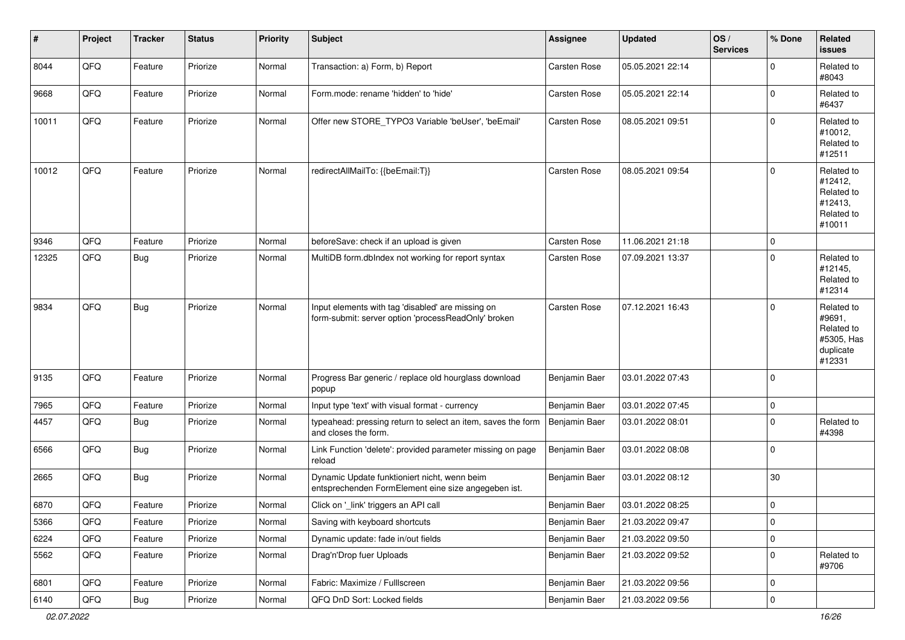| #     | Project | <b>Tracker</b> | <b>Status</b> | <b>Priority</b> | Subject                                                                                                  | Assignee      | <b>Updated</b>   | OS/<br><b>Services</b> | % Done      | Related<br>issues                                                       |
|-------|---------|----------------|---------------|-----------------|----------------------------------------------------------------------------------------------------------|---------------|------------------|------------------------|-------------|-------------------------------------------------------------------------|
| 8044  | QFQ     | Feature        | Priorize      | Normal          | Transaction: a) Form, b) Report                                                                          | Carsten Rose  | 05.05.2021 22:14 |                        | $\Omega$    | Related to<br>#8043                                                     |
| 9668  | QFQ     | Feature        | Priorize      | Normal          | Form.mode: rename 'hidden' to 'hide'                                                                     | Carsten Rose  | 05.05.2021 22:14 |                        | $\Omega$    | Related to<br>#6437                                                     |
| 10011 | QFQ     | Feature        | Priorize      | Normal          | Offer new STORE_TYPO3 Variable 'beUser', 'beEmail'                                                       | Carsten Rose  | 08.05.2021 09:51 |                        | $\Omega$    | Related to<br>#10012,<br>Related to<br>#12511                           |
| 10012 | QFQ     | Feature        | Priorize      | Normal          | redirectAllMailTo: {{beEmail:T}}                                                                         | Carsten Rose  | 08.05.2021 09:54 |                        | $\Omega$    | Related to<br>#12412,<br>Related to<br>#12413,<br>Related to<br>#10011  |
| 9346  | QFQ     | Feature        | Priorize      | Normal          | beforeSave: check if an upload is given                                                                  | Carsten Rose  | 11.06.2021 21:18 |                        | $\mathbf 0$ |                                                                         |
| 12325 | QFQ     | Bug            | Priorize      | Normal          | MultiDB form.dblndex not working for report syntax                                                       | Carsten Rose  | 07.09.2021 13:37 |                        | $\Omega$    | Related to<br>#12145,<br>Related to<br>#12314                           |
| 9834  | QFQ     | <b>Bug</b>     | Priorize      | Normal          | Input elements with tag 'disabled' are missing on<br>form-submit: server option 'processReadOnly' broken | Carsten Rose  | 07.12.2021 16:43 |                        | $\Omega$    | Related to<br>#9691,<br>Related to<br>#5305, Has<br>duplicate<br>#12331 |
| 9135  | QFQ     | Feature        | Priorize      | Normal          | Progress Bar generic / replace old hourglass download<br>popup                                           | Benjamin Baer | 03.01.2022 07:43 |                        | $\mathbf 0$ |                                                                         |
| 7965  | QFQ     | Feature        | Priorize      | Normal          | Input type 'text' with visual format - currency                                                          | Benjamin Baer | 03.01.2022 07:45 |                        | $\mathbf 0$ |                                                                         |
| 4457  | QFQ     | <b>Bug</b>     | Priorize      | Normal          | typeahead: pressing return to select an item, saves the form<br>and closes the form.                     | Benjamin Baer | 03.01.2022 08:01 |                        | $\Omega$    | Related to<br>#4398                                                     |
| 6566  | QFQ     | <b>Bug</b>     | Priorize      | Normal          | Link Function 'delete': provided parameter missing on page<br>reload                                     | Benjamin Baer | 03.01.2022 08:08 |                        | $\Omega$    |                                                                         |
| 2665  | QFQ     | <b>Bug</b>     | Priorize      | Normal          | Dynamic Update funktioniert nicht, wenn beim<br>entsprechenden FormElement eine size angegeben ist.      | Benjamin Baer | 03.01.2022 08:12 |                        | 30          |                                                                         |
| 6870  | QFQ     | Feature        | Priorize      | Normal          | Click on '_link' triggers an API call                                                                    | Benjamin Baer | 03.01.2022 08:25 |                        | $\Omega$    |                                                                         |
| 5366  | QFO     | Feature        | Priorize      | Normal          | Saving with keyboard shortcuts                                                                           | Benjamin Baer | 21.03.2022 09:47 |                        | $\pmb{0}$   |                                                                         |
| 6224  | QFQ     | Feature        | Priorize      | Normal          | Dynamic update: fade in/out fields                                                                       | Benjamin Baer | 21.03.2022 09:50 |                        | 0           |                                                                         |
| 5562  | QFQ     | Feature        | Priorize      | Normal          | Drag'n'Drop fuer Uploads                                                                                 | Benjamin Baer | 21.03.2022 09:52 |                        | $\mathbf 0$ | Related to<br>#9706                                                     |
| 6801  | QFQ     | Feature        | Priorize      | Normal          | Fabric: Maximize / FullIscreen                                                                           | Benjamin Baer | 21.03.2022 09:56 |                        | $\mathbf 0$ |                                                                         |
| 6140  | QFG     | <b>Bug</b>     | Priorize      | Normal          | QFQ DnD Sort: Locked fields                                                                              | Benjamin Baer | 21.03.2022 09:56 |                        | 0           |                                                                         |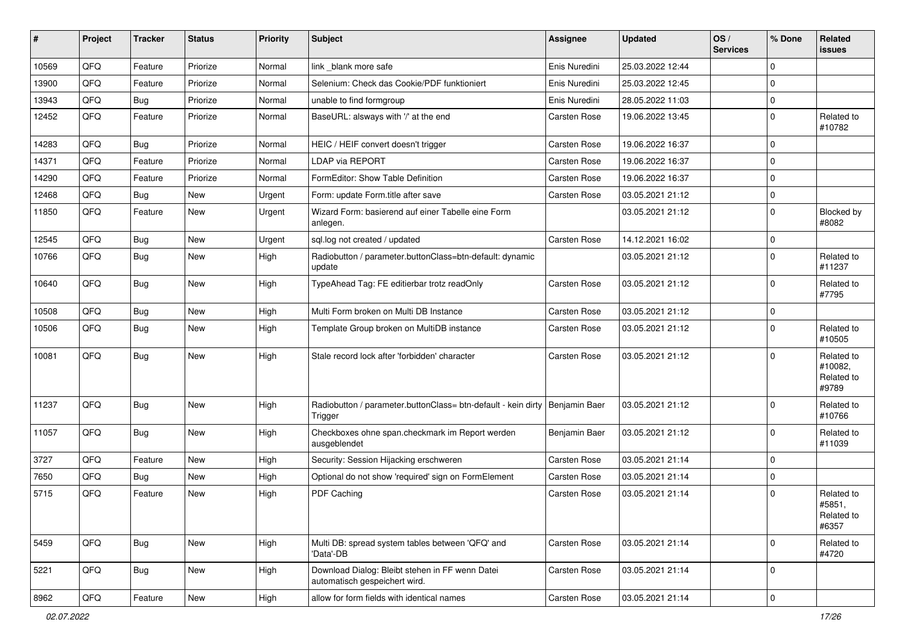| #     | Project | <b>Tracker</b> | <b>Status</b> | <b>Priority</b> | Subject                                                                          | Assignee            | <b>Updated</b>   | OS/<br><b>Services</b> | % Done      | Related<br><b>issues</b>                     |
|-------|---------|----------------|---------------|-----------------|----------------------------------------------------------------------------------|---------------------|------------------|------------------------|-------------|----------------------------------------------|
| 10569 | QFQ     | Feature        | Priorize      | Normal          | link _blank more safe                                                            | Enis Nuredini       | 25.03.2022 12:44 |                        | $\mathbf 0$ |                                              |
| 13900 | QFQ     | Feature        | Priorize      | Normal          | Selenium: Check das Cookie/PDF funktioniert                                      | Enis Nuredini       | 25.03.2022 12:45 |                        | $\mathbf 0$ |                                              |
| 13943 | QFQ     | <b>Bug</b>     | Priorize      | Normal          | unable to find formgroup                                                         | Enis Nuredini       | 28.05.2022 11:03 |                        | $\mathbf 0$ |                                              |
| 12452 | QFQ     | Feature        | Priorize      | Normal          | BaseURL: alsways with '/' at the end                                             | Carsten Rose        | 19.06.2022 13:45 |                        | $\mathbf 0$ | Related to<br>#10782                         |
| 14283 | QFQ     | <b>Bug</b>     | Priorize      | Normal          | HEIC / HEIF convert doesn't trigger                                              | Carsten Rose        | 19.06.2022 16:37 |                        | $\Omega$    |                                              |
| 14371 | QFQ     | Feature        | Priorize      | Normal          | <b>LDAP via REPORT</b>                                                           | Carsten Rose        | 19.06.2022 16:37 |                        | $\mathbf 0$ |                                              |
| 14290 | QFQ     | Feature        | Priorize      | Normal          | FormEditor: Show Table Definition                                                | Carsten Rose        | 19.06.2022 16:37 |                        | $\mathbf 0$ |                                              |
| 12468 | QFQ     | <b>Bug</b>     | <b>New</b>    | Urgent          | Form: update Form.title after save                                               | <b>Carsten Rose</b> | 03.05.2021 21:12 |                        | $\mathbf 0$ |                                              |
| 11850 | QFQ     | Feature        | <b>New</b>    | Urgent          | Wizard Form: basierend auf einer Tabelle eine Form<br>anlegen.                   |                     | 03.05.2021 21:12 |                        | $\mathbf 0$ | Blocked by<br>#8082                          |
| 12545 | QFQ     | <b>Bug</b>     | <b>New</b>    | Urgent          | sql.log not created / updated                                                    | Carsten Rose        | 14.12.2021 16:02 |                        | $\mathbf 0$ |                                              |
| 10766 | QFQ     | Bug            | <b>New</b>    | High            | Radiobutton / parameter.buttonClass=btn-default: dynamic<br>update               |                     | 03.05.2021 21:12 |                        | $\mathbf 0$ | Related to<br>#11237                         |
| 10640 | QFQ     | <b>Bug</b>     | New           | High            | TypeAhead Tag: FE editierbar trotz readOnly                                      | Carsten Rose        | 03.05.2021 21:12 |                        | $\mathbf 0$ | Related to<br>#7795                          |
| 10508 | QFQ     | <b>Bug</b>     | <b>New</b>    | High            | Multi Form broken on Multi DB Instance                                           | Carsten Rose        | 03.05.2021 21:12 |                        | $\mathbf 0$ |                                              |
| 10506 | QFQ     | <b>Bug</b>     | <b>New</b>    | High            | Template Group broken on MultiDB instance                                        | Carsten Rose        | 03.05.2021 21:12 |                        | $\mathbf 0$ | Related to<br>#10505                         |
| 10081 | QFQ     | Bug            | <b>New</b>    | High            | Stale record lock after 'forbidden' character                                    | Carsten Rose        | 03.05.2021 21:12 |                        | $\mathbf 0$ | Related to<br>#10082,<br>Related to<br>#9789 |
| 11237 | QFQ     | Bug            | New           | High            | Radiobutton / parameter.buttonClass= btn-default - kein dirty<br>Trigger         | Benjamin Baer       | 03.05.2021 21:12 |                        | $\mathbf 0$ | Related to<br>#10766                         |
| 11057 | QFQ     | Bug            | New           | High            | Checkboxes ohne span.checkmark im Report werden<br>ausgeblendet                  | Benjamin Baer       | 03.05.2021 21:12 |                        | $\mathbf 0$ | Related to<br>#11039                         |
| 3727  | QFQ     | Feature        | <b>New</b>    | High            | Security: Session Hijacking erschweren                                           | Carsten Rose        | 03.05.2021 21:14 |                        | $\mathbf 0$ |                                              |
| 7650  | QFQ     | <b>Bug</b>     | New           | High            | Optional do not show 'required' sign on FormElement                              | <b>Carsten Rose</b> | 03.05.2021 21:14 |                        | $\mathbf 0$ |                                              |
| 5715  | QFQ     | Feature        | New           | High            | <b>PDF Caching</b>                                                               | Carsten Rose        | 03.05.2021 21:14 |                        | $\Omega$    | Related to<br>#5851,<br>Related to<br>#6357  |
| 5459  | QFQ     | Bug            | New           | High            | Multi DB: spread system tables between 'QFQ' and<br>'Data'-DB                    | Carsten Rose        | 03.05.2021 21:14 |                        | $\mathbf 0$ | Related to<br>#4720                          |
| 5221  | QFQ     | Bug            | New           | High            | Download Dialog: Bleibt stehen in FF wenn Datei<br>automatisch gespeichert wird. | Carsten Rose        | 03.05.2021 21:14 |                        | $\mathbf 0$ |                                              |
| 8962  | QFG     | Feature        | New           | High            | allow for form fields with identical names                                       | Carsten Rose        | 03.05.2021 21:14 |                        | $\pmb{0}$   |                                              |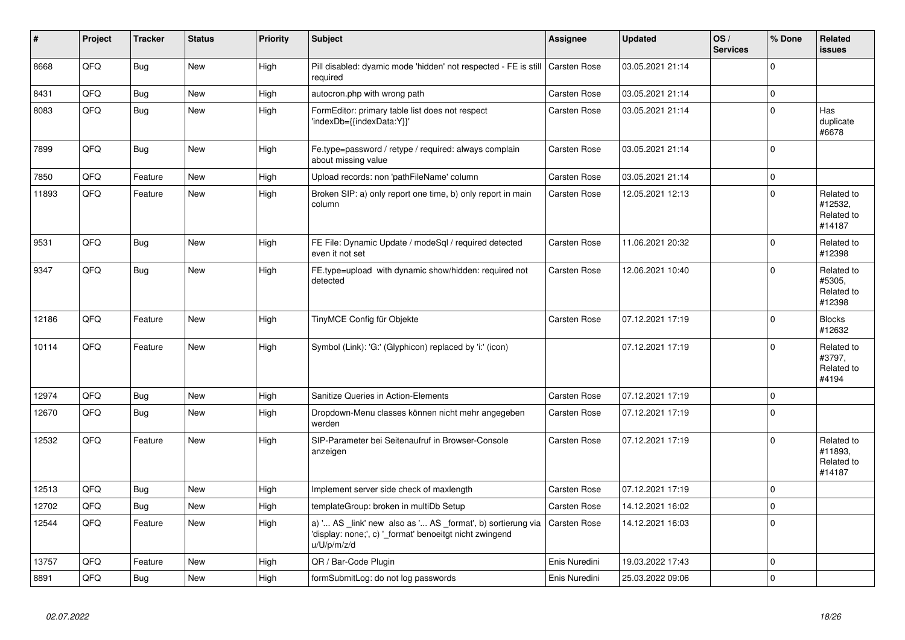| #     | Project | <b>Tracker</b> | <b>Status</b> | <b>Priority</b> | <b>Subject</b>                                                                                                                        | Assignee            | <b>Updated</b>   | OS/<br><b>Services</b> | % Done      | Related<br><b>issues</b>                      |
|-------|---------|----------------|---------------|-----------------|---------------------------------------------------------------------------------------------------------------------------------------|---------------------|------------------|------------------------|-------------|-----------------------------------------------|
| 8668  | QFQ     | Bug            | <b>New</b>    | High            | Pill disabled: dyamic mode 'hidden' not respected - FE is still<br>required                                                           | Carsten Rose        | 03.05.2021 21:14 |                        | $\Omega$    |                                               |
| 8431  | QFQ     | Bug            | <b>New</b>    | High            | autocron.php with wrong path                                                                                                          | Carsten Rose        | 03.05.2021 21:14 |                        | $\mathbf 0$ |                                               |
| 8083  | QFQ     | Bug            | <b>New</b>    | High            | FormEditor: primary table list does not respect<br>'indexDb={{indexData:Y}}'                                                          | Carsten Rose        | 03.05.2021 21:14 |                        | $\mathbf 0$ | Has<br>duplicate<br>#6678                     |
| 7899  | QFQ     | Bug            | <b>New</b>    | High            | Fe.type=password / retype / required: always complain<br>about missing value                                                          | Carsten Rose        | 03.05.2021 21:14 |                        | $\mathbf 0$ |                                               |
| 7850  | QFQ     | Feature        | New           | High            | Upload records: non 'pathFileName' column                                                                                             | Carsten Rose        | 03.05.2021 21:14 |                        | $\mathbf 0$ |                                               |
| 11893 | QFQ     | Feature        | <b>New</b>    | High            | Broken SIP: a) only report one time, b) only report in main<br>column                                                                 | <b>Carsten Rose</b> | 12.05.2021 12:13 |                        | $\mathbf 0$ | Related to<br>#12532,<br>Related to<br>#14187 |
| 9531  | QFQ     | Bug            | <b>New</b>    | High            | FE File: Dynamic Update / modeSql / required detected<br>even it not set                                                              | Carsten Rose        | 11.06.2021 20:32 |                        | $\mathbf 0$ | Related to<br>#12398                          |
| 9347  | QFQ     | Bug            | <b>New</b>    | High            | FE.type=upload with dynamic show/hidden: required not<br>detected                                                                     | <b>Carsten Rose</b> | 12.06.2021 10:40 |                        | $\mathbf 0$ | Related to<br>#5305,<br>Related to<br>#12398  |
| 12186 | QFQ     | Feature        | <b>New</b>    | High            | TinyMCE Config für Objekte                                                                                                            | <b>Carsten Rose</b> | 07.12.2021 17:19 |                        | $\Omega$    | <b>Blocks</b><br>#12632                       |
| 10114 | QFQ     | Feature        | <b>New</b>    | High            | Symbol (Link): 'G:' (Glyphicon) replaced by 'i:' (icon)                                                                               |                     | 07.12.2021 17:19 |                        | $\Omega$    | Related to<br>#3797,<br>Related to<br>#4194   |
| 12974 | QFQ     | Bug            | <b>New</b>    | High            | Sanitize Queries in Action-Elements                                                                                                   | <b>Carsten Rose</b> | 07.12.2021 17:19 |                        | $\mathbf 0$ |                                               |
| 12670 | QFQ     | Bug            | <b>New</b>    | High            | Dropdown-Menu classes können nicht mehr angegeben<br>werden                                                                           | Carsten Rose        | 07.12.2021 17:19 |                        | $\mathbf 0$ |                                               |
| 12532 | QFQ     | Feature        | <b>New</b>    | High            | SIP-Parameter bei Seitenaufruf in Browser-Console<br>anzeigen                                                                         | <b>Carsten Rose</b> | 07.12.2021 17:19 |                        | $\mathbf 0$ | Related to<br>#11893.<br>Related to<br>#14187 |
| 12513 | QFQ     | Bug            | <b>New</b>    | High            | Implement server side check of maxlength                                                                                              | <b>Carsten Rose</b> | 07.12.2021 17:19 |                        | $\mathbf 0$ |                                               |
| 12702 | QFQ     | Bug            | <b>New</b>    | High            | templateGroup: broken in multiDb Setup                                                                                                | Carsten Rose        | 14.12.2021 16:02 |                        | $\pmb{0}$   |                                               |
| 12544 | QFQ     | Feature        | New           | High            | a) ' AS _link' new also as ' AS _format', b) sortierung via<br>'display: none;', c) '_format' benoeitgt nicht zwingend<br>u/U/p/m/z/d | <b>Carsten Rose</b> | 14.12.2021 16:03 |                        | $\mathbf 0$ |                                               |
| 13757 | QFQ     | Feature        | <b>New</b>    | High            | QR / Bar-Code Plugin                                                                                                                  | Enis Nuredini       | 19.03.2022 17:43 |                        | $\mathbf 0$ |                                               |
| 8891  | QFQ     | Bug            | <b>New</b>    | High            | formSubmitLog: do not log passwords                                                                                                   | Enis Nuredini       | 25.03.2022 09:06 |                        | $\Omega$    |                                               |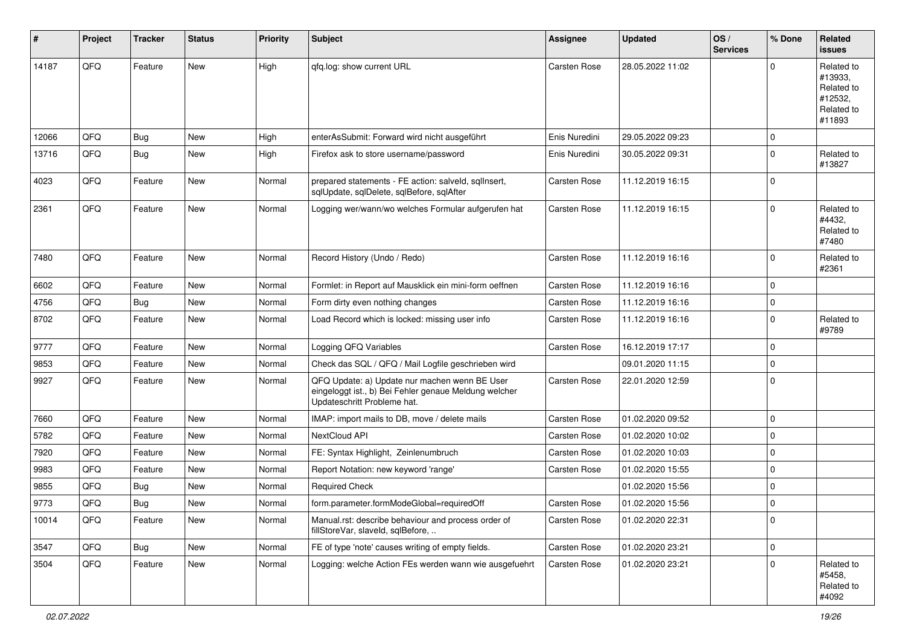| ∦     | Project | <b>Tracker</b> | <b>Status</b> | <b>Priority</b> | <b>Subject</b>                                                                                                                        | <b>Assignee</b>     | <b>Updated</b>   | OS/<br><b>Services</b> | % Done   | Related<br>issues                                                      |
|-------|---------|----------------|---------------|-----------------|---------------------------------------------------------------------------------------------------------------------------------------|---------------------|------------------|------------------------|----------|------------------------------------------------------------------------|
| 14187 | QFQ     | Feature        | <b>New</b>    | High            | qfq.log: show current URL                                                                                                             | <b>Carsten Rose</b> | 28.05.2022 11:02 |                        | 0        | Related to<br>#13933.<br>Related to<br>#12532,<br>Related to<br>#11893 |
| 12066 | QFQ     | Bug            | New           | High            | enterAsSubmit: Forward wird nicht ausgeführt                                                                                          | Enis Nuredini       | 29.05.2022 09:23 |                        | 0        |                                                                        |
| 13716 | QFQ     | <b>Bug</b>     | New           | High            | Firefox ask to store username/password                                                                                                | Enis Nuredini       | 30.05.2022 09:31 |                        | 0        | Related to<br>#13827                                                   |
| 4023  | QFQ     | Feature        | New           | Normal          | prepared statements - FE action: salveld, sqllnsert,<br>sqlUpdate, sqlDelete, sqlBefore, sqlAfter                                     | <b>Carsten Rose</b> | 11.12.2019 16:15 |                        | 0        |                                                                        |
| 2361  | QFQ     | Feature        | New           | Normal          | Logging wer/wann/wo welches Formular aufgerufen hat                                                                                   | Carsten Rose        | 11.12.2019 16:15 |                        | 0        | Related to<br>#4432,<br>Related to<br>#7480                            |
| 7480  | QFQ     | Feature        | New           | Normal          | Record History (Undo / Redo)                                                                                                          | Carsten Rose        | 11.12.2019 16:16 |                        | 0        | Related to<br>#2361                                                    |
| 6602  | QFQ     | Feature        | New           | Normal          | Formlet: in Report auf Mausklick ein mini-form oeffnen                                                                                | Carsten Rose        | 11.12.2019 16:16 |                        | 0        |                                                                        |
| 4756  | QFQ     | Bug            | New           | Normal          | Form dirty even nothing changes                                                                                                       | Carsten Rose        | 11.12.2019 16:16 |                        | 0        |                                                                        |
| 8702  | QFQ     | Feature        | New           | Normal          | Load Record which is locked: missing user info                                                                                        | Carsten Rose        | 11.12.2019 16:16 |                        | 0        | Related to<br>#9789                                                    |
| 9777  | QFQ     | Feature        | New           | Normal          | Logging QFQ Variables                                                                                                                 | Carsten Rose        | 16.12.2019 17:17 |                        | 0        |                                                                        |
| 9853  | QFQ     | Feature        | New           | Normal          | Check das SQL / QFQ / Mail Logfile geschrieben wird                                                                                   |                     | 09.01.2020 11:15 |                        | $\Omega$ |                                                                        |
| 9927  | QFQ     | Feature        | New           | Normal          | QFQ Update: a) Update nur machen wenn BE User<br>eingeloggt ist., b) Bei Fehler genaue Meldung welcher<br>Updateschritt Probleme hat. | Carsten Rose        | 22.01.2020 12:59 |                        | 0        |                                                                        |
| 7660  | QFQ     | Feature        | New           | Normal          | IMAP: import mails to DB, move / delete mails                                                                                         | Carsten Rose        | 01.02.2020 09:52 |                        | 0        |                                                                        |
| 5782  | QFQ     | Feature        | New           | Normal          | NextCloud API                                                                                                                         | Carsten Rose        | 01.02.2020 10:02 |                        | 0        |                                                                        |
| 7920  | QFQ     | Feature        | New           | Normal          | FE: Syntax Highlight, Zeinlenumbruch                                                                                                  | Carsten Rose        | 01.02.2020 10:03 |                        | 0        |                                                                        |
| 9983  | QFQ     | Feature        | New           | Normal          | Report Notation: new keyword 'range'                                                                                                  | Carsten Rose        | 01.02.2020 15:55 |                        | 0        |                                                                        |
| 9855  | QFQ     | <b>Bug</b>     | <b>New</b>    | Normal          | <b>Required Check</b>                                                                                                                 |                     | 01.02.2020 15:56 |                        | 0        |                                                                        |
| 9773  | QFQ     | Bug            | New           | Normal          | form.parameter.formModeGlobal=requiredOff                                                                                             | Carsten Rose        | 01.02.2020 15:56 |                        | 0        |                                                                        |
| 10014 | QFQ     | Feature        | New           | Normal          | Manual.rst: describe behaviour and process order of<br>fillStoreVar, slaveId, sqlBefore,                                              | Carsten Rose        | 01.02.2020 22:31 |                        | 0        |                                                                        |
| 3547  | QFQ     | Bug            | New           | Normal          | FE of type 'note' causes writing of empty fields.                                                                                     | Carsten Rose        | 01.02.2020 23:21 |                        | 0        |                                                                        |
| 3504  | QFQ     | Feature        | New           | Normal          | Logging: welche Action FEs werden wann wie ausgefuehrt                                                                                | Carsten Rose        | 01.02.2020 23:21 |                        | 0        | Related to<br>#5458,<br>Related to<br>#4092                            |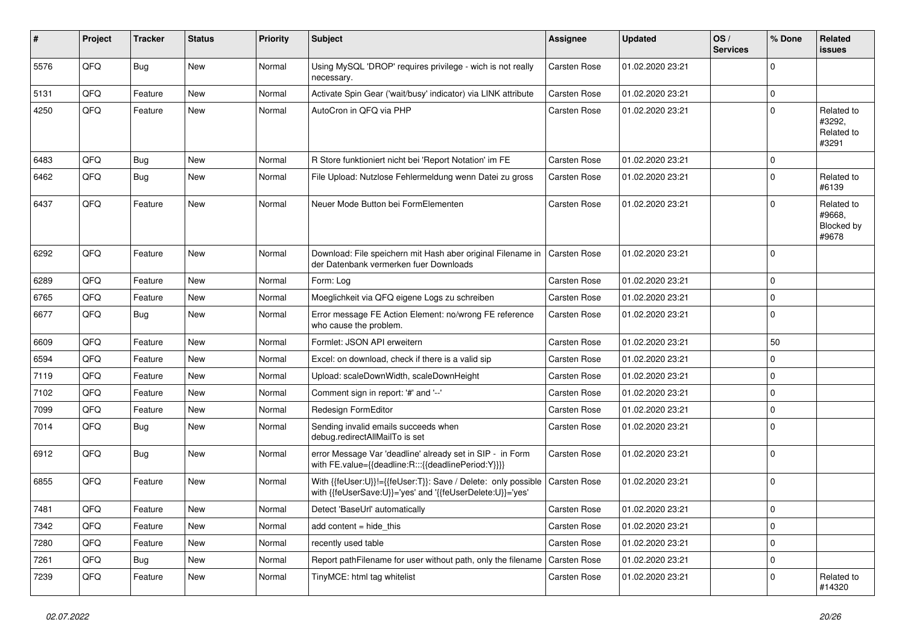| #    | <b>Project</b> | <b>Tracker</b> | <b>Status</b> | <b>Priority</b> | <b>Subject</b>                                                                                                             | <b>Assignee</b>     | <b>Updated</b>   | OS/<br><b>Services</b> | % Done      | <b>Related</b><br><b>issues</b>             |
|------|----------------|----------------|---------------|-----------------|----------------------------------------------------------------------------------------------------------------------------|---------------------|------------------|------------------------|-------------|---------------------------------------------|
| 5576 | QFQ            | Bug            | <b>New</b>    | Normal          | Using MySQL 'DROP' requires privilege - wich is not really<br>necessary.                                                   | <b>Carsten Rose</b> | 01.02.2020 23:21 |                        | $\Omega$    |                                             |
| 5131 | QFQ            | Feature        | New           | Normal          | Activate Spin Gear ('wait/busy' indicator) via LINK attribute                                                              | Carsten Rose        | 01.02.2020 23:21 |                        | $\mathbf 0$ |                                             |
| 4250 | QFQ            | Feature        | New           | Normal          | AutoCron in QFQ via PHP                                                                                                    | Carsten Rose        | 01.02.2020 23:21 |                        | $\Omega$    | Related to<br>#3292,<br>Related to<br>#3291 |
| 6483 | QFQ            | Bug            | <b>New</b>    | Normal          | R Store funktioniert nicht bei 'Report Notation' im FE                                                                     | Carsten Rose        | 01.02.2020 23:21 |                        | $\mathbf 0$ |                                             |
| 6462 | QFQ            | Bug            | New           | Normal          | File Upload: Nutzlose Fehlermeldung wenn Datei zu gross                                                                    | Carsten Rose        | 01.02.2020 23:21 |                        | $\mathbf 0$ | Related to<br>#6139                         |
| 6437 | QFQ            | Feature        | New           | Normal          | Neuer Mode Button bei FormElementen                                                                                        | Carsten Rose        | 01.02.2020 23:21 |                        | $\Omega$    | Related to<br>#9668.<br>Blocked by<br>#9678 |
| 6292 | QFQ            | Feature        | New           | Normal          | Download: File speichern mit Hash aber original Filename in<br>der Datenbank vermerken fuer Downloads                      | <b>Carsten Rose</b> | 01.02.2020 23:21 |                        | $\mathbf 0$ |                                             |
| 6289 | QFQ            | Feature        | <b>New</b>    | Normal          | Form: Log                                                                                                                  | Carsten Rose        | 01.02.2020 23:21 |                        | $\Omega$    |                                             |
| 6765 | QFQ            | Feature        | <b>New</b>    | Normal          | Moeglichkeit via QFQ eigene Logs zu schreiben                                                                              | <b>Carsten Rose</b> | 01.02.2020 23:21 |                        | $\Omega$    |                                             |
| 6677 | QFQ            | Bug            | <b>New</b>    | Normal          | Error message FE Action Element: no/wrong FE reference<br>who cause the problem.                                           | <b>Carsten Rose</b> | 01.02.2020 23:21 |                        | $\Omega$    |                                             |
| 6609 | QFQ            | Feature        | New           | Normal          | Formlet: JSON API erweitern                                                                                                | <b>Carsten Rose</b> | 01.02.2020 23:21 |                        | 50          |                                             |
| 6594 | QFQ            | Feature        | New           | Normal          | Excel: on download, check if there is a valid sip                                                                          | <b>Carsten Rose</b> | 01.02.2020 23:21 |                        | $\mathbf 0$ |                                             |
| 7119 | QFQ            | Feature        | New           | Normal          | Upload: scaleDownWidth, scaleDownHeight                                                                                    | <b>Carsten Rose</b> | 01.02.2020 23:21 |                        | $\mathbf 0$ |                                             |
| 7102 | QFQ            | Feature        | New           | Normal          | Comment sign in report: '#' and '--'                                                                                       | <b>Carsten Rose</b> | 01.02.2020 23:21 |                        | $\mathbf 0$ |                                             |
| 7099 | QFQ            | Feature        | <b>New</b>    | Normal          | Redesign FormEditor                                                                                                        | Carsten Rose        | 01.02.2020 23:21 |                        | $\mathbf 0$ |                                             |
| 7014 | QFQ            | Bug            | New           | Normal          | Sending invalid emails succeeds when<br>debug.redirectAllMailTo is set                                                     | Carsten Rose        | 01.02.2020 23:21 |                        | $\mathbf 0$ |                                             |
| 6912 | QFQ            | Bug            | <b>New</b>    | Normal          | error Message Var 'deadline' already set in SIP - in Form<br>with FE.value={{deadline:R:::{{deadlinePeriod:Y}}}}           | <b>Carsten Rose</b> | 01.02.2020 23:21 |                        | $\mathbf 0$ |                                             |
| 6855 | QFQ            | Feature        | <b>New</b>    | Normal          | With {{feUser:U}}!={{feUser:T}}: Save / Delete: only possible<br>with {{feUserSave:U}}='yes' and '{{feUserDelete:U}}='yes' | Carsten Rose        | 01.02.2020 23:21 |                        | $\Omega$    |                                             |
| 7481 | QFQ            | Feature        | New           | Normal          | Detect 'BaseUrl' automatically                                                                                             | <b>Carsten Rose</b> | 01.02.2020 23:21 |                        | $\mathbf 0$ |                                             |
| 7342 | QFQ            | Feature        | New           | Normal          | add content $=$ hide this                                                                                                  | <b>Carsten Rose</b> | 01.02.2020 23:21 |                        | $\mathbf 0$ |                                             |
| 7280 | QFQ            | Feature        | New           | Normal          | recently used table                                                                                                        | Carsten Rose        | 01.02.2020 23:21 |                        | $\mathbf 0$ |                                             |
| 7261 | QFQ            | Bug            | New           | Normal          | Report path Filename for user without path, only the filename                                                              | <b>Carsten Rose</b> | 01.02.2020 23:21 |                        | $\mathbf 0$ |                                             |
| 7239 | QFQ            | Feature        | New           | Normal          | TinyMCE: html tag whitelist                                                                                                | Carsten Rose        | 01.02.2020 23:21 |                        | $\Omega$    | Related to<br>#14320                        |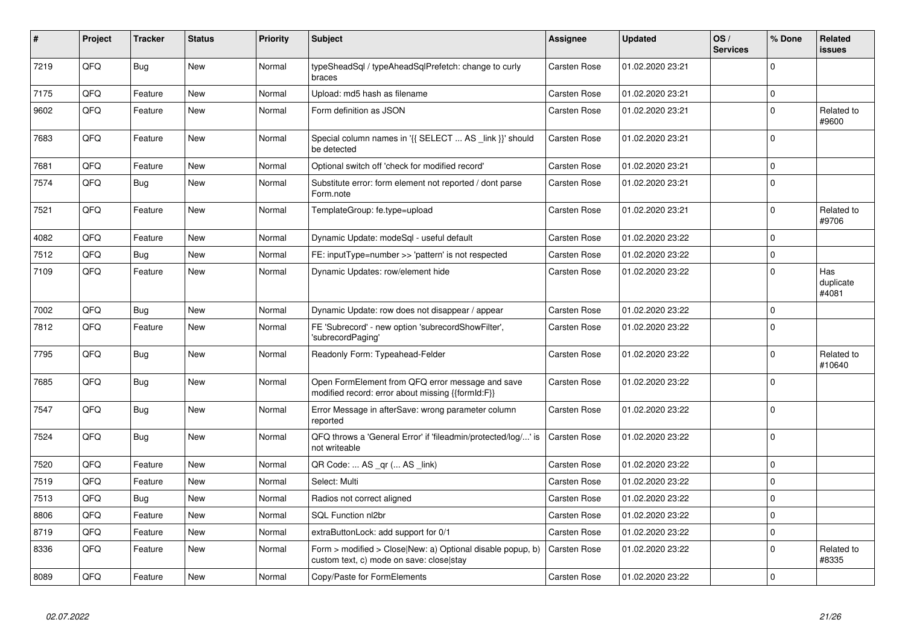| #    | Project | <b>Tracker</b> | <b>Status</b> | <b>Priority</b> | <b>Subject</b>                                                                                         | Assignee            | <b>Updated</b>   | OS/<br><b>Services</b> | % Done      | <b>Related</b><br><b>issues</b> |
|------|---------|----------------|---------------|-----------------|--------------------------------------------------------------------------------------------------------|---------------------|------------------|------------------------|-------------|---------------------------------|
| 7219 | QFQ     | <b>Bug</b>     | <b>New</b>    | Normal          | typeSheadSql / typeAheadSqlPrefetch: change to curly<br>braces                                         | <b>Carsten Rose</b> | 01.02.2020 23:21 |                        | $\Omega$    |                                 |
| 7175 | QFQ     | Feature        | New           | Normal          | Upload: md5 hash as filename                                                                           | <b>Carsten Rose</b> | 01.02.2020 23:21 |                        | $\Omega$    |                                 |
| 9602 | QFQ     | Feature        | <b>New</b>    | Normal          | Form definition as JSON                                                                                | <b>Carsten Rose</b> | 01.02.2020 23:21 |                        | $\mathbf 0$ | Related to<br>#9600             |
| 7683 | QFQ     | Feature        | <b>New</b>    | Normal          | Special column names in '{{ SELECT  AS _link }}' should<br>be detected                                 | Carsten Rose        | 01.02.2020 23:21 |                        | $\mathbf 0$ |                                 |
| 7681 | QFQ     | Feature        | New           | Normal          | Optional switch off 'check for modified record'                                                        | Carsten Rose        | 01.02.2020 23:21 |                        | $\mathbf 0$ |                                 |
| 7574 | QFQ     | Bug            | <b>New</b>    | Normal          | Substitute error: form element not reported / dont parse<br>Form.note                                  | Carsten Rose        | 01.02.2020 23:21 |                        | $\Omega$    |                                 |
| 7521 | QFQ     | Feature        | <b>New</b>    | Normal          | TemplateGroup: fe.type=upload                                                                          | <b>Carsten Rose</b> | 01.02.2020 23:21 |                        | $\mathbf 0$ | Related to<br>#9706             |
| 4082 | QFQ     | Feature        | New           | Normal          | Dynamic Update: modeSql - useful default                                                               | <b>Carsten Rose</b> | 01.02.2020 23:22 |                        | $\mathbf 0$ |                                 |
| 7512 | QFQ     | Bug            | <b>New</b>    | Normal          | FE: inputType=number >> 'pattern' is not respected                                                     | <b>Carsten Rose</b> | 01.02.2020 23:22 |                        | $\mathbf 0$ |                                 |
| 7109 | QFQ     | Feature        | <b>New</b>    | Normal          | Dynamic Updates: row/element hide                                                                      | <b>Carsten Rose</b> | 01.02.2020 23:22 |                        | $\Omega$    | Has<br>duplicate<br>#4081       |
| 7002 | QFQ     | Bug            | <b>New</b>    | Normal          | Dynamic Update: row does not disappear / appear                                                        | <b>Carsten Rose</b> | 01.02.2020 23:22 |                        | $\mathbf 0$ |                                 |
| 7812 | QFQ     | Feature        | <b>New</b>    | Normal          | FE 'Subrecord' - new option 'subrecordShowFilter',<br>'subrecordPaging'                                | <b>Carsten Rose</b> | 01.02.2020 23:22 |                        | $\Omega$    |                                 |
| 7795 | QFQ     | <b>Bug</b>     | <b>New</b>    | Normal          | Readonly Form: Typeahead-Felder                                                                        | <b>Carsten Rose</b> | 01.02.2020 23:22 |                        | $\mathbf 0$ | Related to<br>#10640            |
| 7685 | QFQ     | <b>Bug</b>     | New           | Normal          | Open FormElement from QFQ error message and save<br>modified record: error about missing {{formId:F}}  | <b>Carsten Rose</b> | 01.02.2020 23:22 |                        | $\mathbf 0$ |                                 |
| 7547 | QFQ     | Bug            | New           | Normal          | Error Message in afterSave: wrong parameter column<br>reported                                         | Carsten Rose        | 01.02.2020 23:22 |                        | $\Omega$    |                                 |
| 7524 | QFQ     | <b>Bug</b>     | New           | Normal          | QFQ throws a 'General Error' if 'fileadmin/protected/log/' is<br>not writeable                         | <b>Carsten Rose</b> | 01.02.2020 23:22 |                        | $\mathbf 0$ |                                 |
| 7520 | QFQ     | Feature        | <b>New</b>    | Normal          | QR Code:  AS _qr ( AS _link)                                                                           | <b>Carsten Rose</b> | 01.02.2020 23:22 |                        | $\mathbf 0$ |                                 |
| 7519 | QFQ     | Feature        | New           | Normal          | Select: Multi                                                                                          | <b>Carsten Rose</b> | 01.02.2020 23:22 |                        | $\Omega$    |                                 |
| 7513 | QFQ     | Bug            | New           | Normal          | Radios not correct aligned                                                                             | Carsten Rose        | 01.02.2020 23:22 |                        | $\mathbf 0$ |                                 |
| 8806 | QFQ     | Feature        | New           | Normal          | <b>SQL Function nl2br</b>                                                                              | <b>Carsten Rose</b> | 01.02.2020 23:22 |                        | $\mathbf 0$ |                                 |
| 8719 | QFQ     | Feature        | New           | Normal          | extraButtonLock: add support for 0/1                                                                   | <b>Carsten Rose</b> | 01.02.2020 23:22 |                        | $\mathbf 0$ |                                 |
| 8336 | QFQ     | Feature        | New           | Normal          | Form > modified > Close New: a) Optional disable popup, b)<br>custom text, c) mode on save: close stay | <b>Carsten Rose</b> | 01.02.2020 23:22 |                        | $\mathbf 0$ | Related to<br>#8335             |
| 8089 | QFQ     | Feature        | New           | Normal          | Copy/Paste for FormElements                                                                            | <b>Carsten Rose</b> | 01.02.2020 23:22 |                        | $\mathbf 0$ |                                 |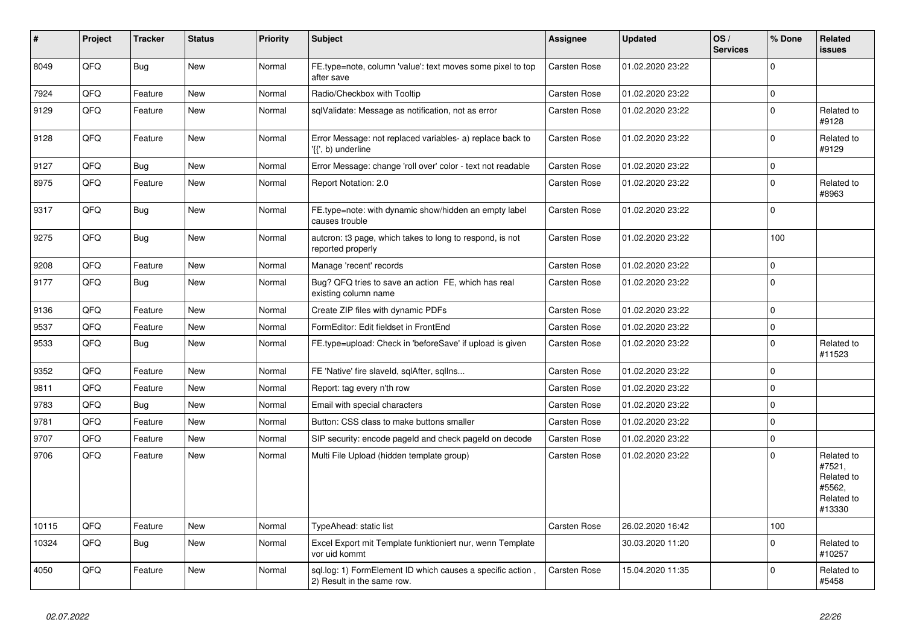| #     | Project | <b>Tracker</b> | <b>Status</b> | <b>Priority</b> | <b>Subject</b>                                                                           | Assignee            | <b>Updated</b>   | OS/<br><b>Services</b> | % Done      | Related<br><b>issues</b>                                             |
|-------|---------|----------------|---------------|-----------------|------------------------------------------------------------------------------------------|---------------------|------------------|------------------------|-------------|----------------------------------------------------------------------|
| 8049  | QFQ     | <b>Bug</b>     | <b>New</b>    | Normal          | FE.type=note, column 'value': text moves some pixel to top<br>after save                 | <b>Carsten Rose</b> | 01.02.2020 23:22 |                        | $\Omega$    |                                                                      |
| 7924  | QFQ     | Feature        | <b>New</b>    | Normal          | Radio/Checkbox with Tooltip                                                              | Carsten Rose        | 01.02.2020 23:22 |                        | $\mathbf 0$ |                                                                      |
| 9129  | QFQ     | Feature        | <b>New</b>    | Normal          | sqlValidate: Message as notification, not as error                                       | <b>Carsten Rose</b> | 01.02.2020 23:22 |                        | $\pmb{0}$   | Related to<br>#9128                                                  |
| 9128  | QFQ     | Feature        | New           | Normal          | Error Message: not replaced variables- a) replace back to<br>'{{', b) underline          | Carsten Rose        | 01.02.2020 23:22 |                        | $\pmb{0}$   | Related to<br>#9129                                                  |
| 9127  | QFQ     | <b>Bug</b>     | <b>New</b>    | Normal          | Error Message: change 'roll over' color - text not readable                              | Carsten Rose        | 01.02.2020 23:22 |                        | $\mathbf 0$ |                                                                      |
| 8975  | QFQ     | Feature        | New           | Normal          | Report Notation: 2.0                                                                     | <b>Carsten Rose</b> | 01.02.2020 23:22 |                        | $\mathbf 0$ | Related to<br>#8963                                                  |
| 9317  | QFQ     | <b>Bug</b>     | New           | Normal          | FE.type=note: with dynamic show/hidden an empty label<br>causes trouble                  | Carsten Rose        | 01.02.2020 23:22 |                        | $\Omega$    |                                                                      |
| 9275  | QFQ     | <b>Bug</b>     | New           | Normal          | auteron: t3 page, which takes to long to respond, is not<br>reported properly            | Carsten Rose        | 01.02.2020 23:22 |                        | 100         |                                                                      |
| 9208  | QFQ     | Feature        | <b>New</b>    | Normal          | Manage 'recent' records                                                                  | Carsten Rose        | 01.02.2020 23:22 |                        | $\mathbf 0$ |                                                                      |
| 9177  | QFQ     | Bug            | <b>New</b>    | Normal          | Bug? QFQ tries to save an action FE, which has real<br>existing column name              | Carsten Rose        | 01.02.2020 23:22 |                        | $\mathbf 0$ |                                                                      |
| 9136  | QFQ     | Feature        | <b>New</b>    | Normal          | Create ZIP files with dynamic PDFs                                                       | Carsten Rose        | 01.02.2020 23:22 |                        | $\mathbf 0$ |                                                                      |
| 9537  | QFQ     | Feature        | New           | Normal          | FormEditor: Edit fieldset in FrontEnd                                                    | <b>Carsten Rose</b> | 01.02.2020 23:22 |                        | $\mathbf 0$ |                                                                      |
| 9533  | QFQ     | Bug            | New           | Normal          | FE.type=upload: Check in 'beforeSave' if upload is given                                 | <b>Carsten Rose</b> | 01.02.2020 23:22 |                        | $\mathbf 0$ | Related to<br>#11523                                                 |
| 9352  | QFQ     | Feature        | <b>New</b>    | Normal          | FE 'Native' fire slaveld, sqlAfter, sqlIns                                               | <b>Carsten Rose</b> | 01.02.2020 23:22 |                        | $\mathbf 0$ |                                                                      |
| 9811  | QFQ     | Feature        | New           | Normal          | Report: tag every n'th row                                                               | <b>Carsten Rose</b> | 01.02.2020 23:22 |                        | $\mathbf 0$ |                                                                      |
| 9783  | QFQ     | Bug            | New           | Normal          | Email with special characters                                                            | Carsten Rose        | 01.02.2020 23:22 |                        | $\mathbf 0$ |                                                                      |
| 9781  | QFQ     | Feature        | New           | Normal          | Button: CSS class to make buttons smaller                                                | Carsten Rose        | 01.02.2020 23:22 |                        | $\pmb{0}$   |                                                                      |
| 9707  | QFQ     | Feature        | New           | Normal          | SIP security: encode pageld and check pageld on decode                                   | Carsten Rose        | 01.02.2020 23:22 |                        | $\mathbf 0$ |                                                                      |
| 9706  | QFQ     | Feature        | New           | Normal          | Multi File Upload (hidden template group)                                                | Carsten Rose        | 01.02.2020 23:22 |                        | $\mathbf 0$ | Related to<br>#7521,<br>Related to<br>#5562,<br>Related to<br>#13330 |
| 10115 | QFQ     | Feature        | <b>New</b>    | Normal          | TypeAhead: static list                                                                   | Carsten Rose        | 26.02.2020 16:42 |                        | 100         |                                                                      |
| 10324 | QFQ     | Bug            | New           | Normal          | Excel Export mit Template funktioniert nur, wenn Template<br>vor uid kommt               |                     | 30.03.2020 11:20 |                        | $\mathbf 0$ | Related to<br>#10257                                                 |
| 4050  | QFQ     | Feature        | <b>New</b>    | Normal          | sql.log: 1) FormElement ID which causes a specific action,<br>2) Result in the same row. | <b>Carsten Rose</b> | 15.04.2020 11:35 |                        | $\mathbf 0$ | Related to<br>#5458                                                  |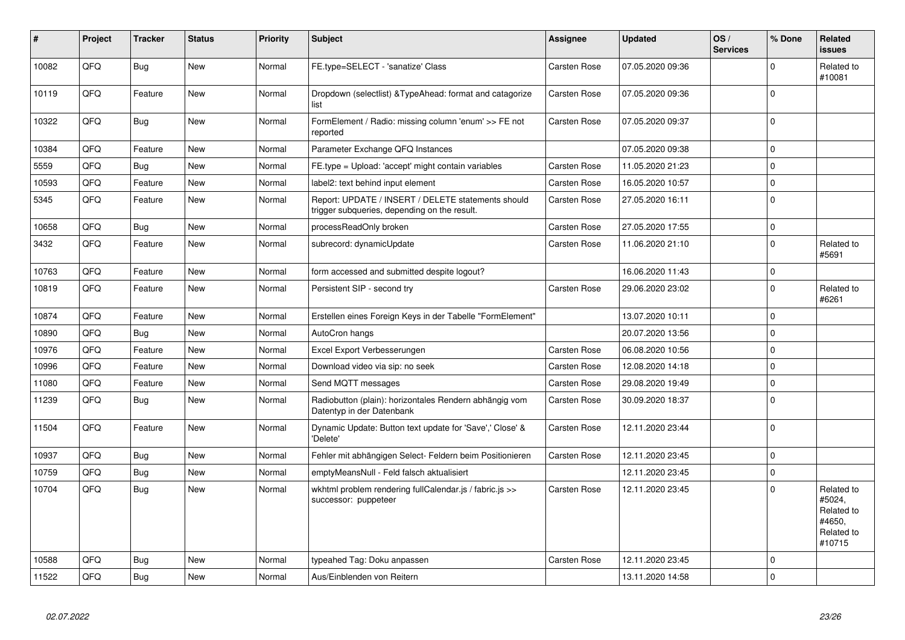| #     | Project | <b>Tracker</b> | <b>Status</b> | <b>Priority</b> | <b>Subject</b>                                                                                     | Assignee            | <b>Updated</b>   | OS/<br><b>Services</b> | % Done      | Related<br><b>issues</b>                                             |
|-------|---------|----------------|---------------|-----------------|----------------------------------------------------------------------------------------------------|---------------------|------------------|------------------------|-------------|----------------------------------------------------------------------|
| 10082 | QFQ     | Bug            | New           | Normal          | FE.type=SELECT - 'sanatize' Class                                                                  | Carsten Rose        | 07.05.2020 09:36 |                        | $\mathbf 0$ | Related to<br>#10081                                                 |
| 10119 | QFQ     | Feature        | <b>New</b>    | Normal          | Dropdown (selectlist) & Type Ahead: format and catagorize<br>list                                  | <b>Carsten Rose</b> | 07.05.2020 09:36 |                        | $\mathbf 0$ |                                                                      |
| 10322 | QFQ     | <b>Bug</b>     | <b>New</b>    | Normal          | FormElement / Radio: missing column 'enum' >> FE not<br>reported                                   | <b>Carsten Rose</b> | 07.05.2020 09:37 |                        | $\mathbf 0$ |                                                                      |
| 10384 | QFQ     | Feature        | <b>New</b>    | Normal          | Parameter Exchange QFQ Instances                                                                   |                     | 07.05.2020 09:38 |                        | $\mathbf 0$ |                                                                      |
| 5559  | QFQ     | Bug            | <b>New</b>    | Normal          | FE.type = Upload: 'accept' might contain variables                                                 | Carsten Rose        | 11.05.2020 21:23 |                        | $\mathbf 0$ |                                                                      |
| 10593 | QFQ     | Feature        | <b>New</b>    | Normal          | label2: text behind input element                                                                  | <b>Carsten Rose</b> | 16.05.2020 10:57 |                        | $\mathbf 0$ |                                                                      |
| 5345  | QFQ     | Feature        | <b>New</b>    | Normal          | Report: UPDATE / INSERT / DELETE statements should<br>trigger subqueries, depending on the result. | <b>Carsten Rose</b> | 27.05.2020 16:11 |                        | $\mathbf 0$ |                                                                      |
| 10658 | QFQ     | Bug            | New           | Normal          | processReadOnly broken                                                                             | Carsten Rose        | 27.05.2020 17:55 |                        | $\mathbf 0$ |                                                                      |
| 3432  | QFQ     | Feature        | <b>New</b>    | Normal          | subrecord: dynamicUpdate                                                                           | <b>Carsten Rose</b> | 11.06.2020 21:10 |                        | $\mathbf 0$ | Related to<br>#5691                                                  |
| 10763 | QFQ     | Feature        | <b>New</b>    | Normal          | form accessed and submitted despite logout?                                                        |                     | 16.06.2020 11:43 |                        | $\mathbf 0$ |                                                                      |
| 10819 | QFQ     | Feature        | <b>New</b>    | Normal          | Persistent SIP - second try                                                                        | <b>Carsten Rose</b> | 29.06.2020 23:02 |                        | $\mathbf 0$ | Related to<br>#6261                                                  |
| 10874 | QFQ     | Feature        | <b>New</b>    | Normal          | Erstellen eines Foreign Keys in der Tabelle "FormElement"                                          |                     | 13.07.2020 10:11 |                        | $\mathbf 0$ |                                                                      |
| 10890 | QFQ     | Bug            | <b>New</b>    | Normal          | AutoCron hangs                                                                                     |                     | 20.07.2020 13:56 |                        | $\mathbf 0$ |                                                                      |
| 10976 | QFQ     | Feature        | <b>New</b>    | Normal          | Excel Export Verbesserungen                                                                        | <b>Carsten Rose</b> | 06.08.2020 10:56 |                        | $\mathbf 0$ |                                                                      |
| 10996 | QFQ     | Feature        | <b>New</b>    | Normal          | Download video via sip: no seek                                                                    | Carsten Rose        | 12.08.2020 14:18 |                        | $\mathbf 0$ |                                                                      |
| 11080 | QFQ     | Feature        | <b>New</b>    | Normal          | Send MQTT messages                                                                                 | <b>Carsten Rose</b> | 29.08.2020 19:49 |                        | $\mathbf 0$ |                                                                      |
| 11239 | QFQ     | Bug            | <b>New</b>    | Normal          | Radiobutton (plain): horizontales Rendern abhängig vom<br>Datentyp in der Datenbank                | <b>Carsten Rose</b> | 30.09.2020 18:37 |                        | $\pmb{0}$   |                                                                      |
| 11504 | QFQ     | Feature        | <b>New</b>    | Normal          | Dynamic Update: Button text update for 'Save',' Close' &<br>'Delete'                               | Carsten Rose        | 12.11.2020 23:44 |                        | $\pmb{0}$   |                                                                      |
| 10937 | QFQ     | <b>Bug</b>     | <b>New</b>    | Normal          | Fehler mit abhängigen Select- Feldern beim Positionieren                                           | Carsten Rose        | 12.11.2020 23:45 |                        | $\mathbf 0$ |                                                                      |
| 10759 | QFQ     | Bug            | <b>New</b>    | Normal          | emptyMeansNull - Feld falsch aktualisiert                                                          |                     | 12.11.2020 23:45 |                        | $\mathbf 0$ |                                                                      |
| 10704 | QFQ     | Bug            | <b>New</b>    | Normal          | wkhtml problem rendering fullCalendar.js / fabric.js >><br>successor: puppeteer                    | Carsten Rose        | 12.11.2020 23:45 |                        | $\mathbf 0$ | Related to<br>#5024.<br>Related to<br>#4650,<br>Related to<br>#10715 |
| 10588 | QFQ     | Bug            | <b>New</b>    | Normal          | typeahed Tag: Doku anpassen                                                                        | <b>Carsten Rose</b> | 12.11.2020 23:45 |                        | $\mathbf 0$ |                                                                      |
| 11522 | QFQ     | Bug            | <b>New</b>    | Normal          | Aus/Einblenden von Reitern                                                                         |                     | 13.11.2020 14:58 |                        | $\Omega$    |                                                                      |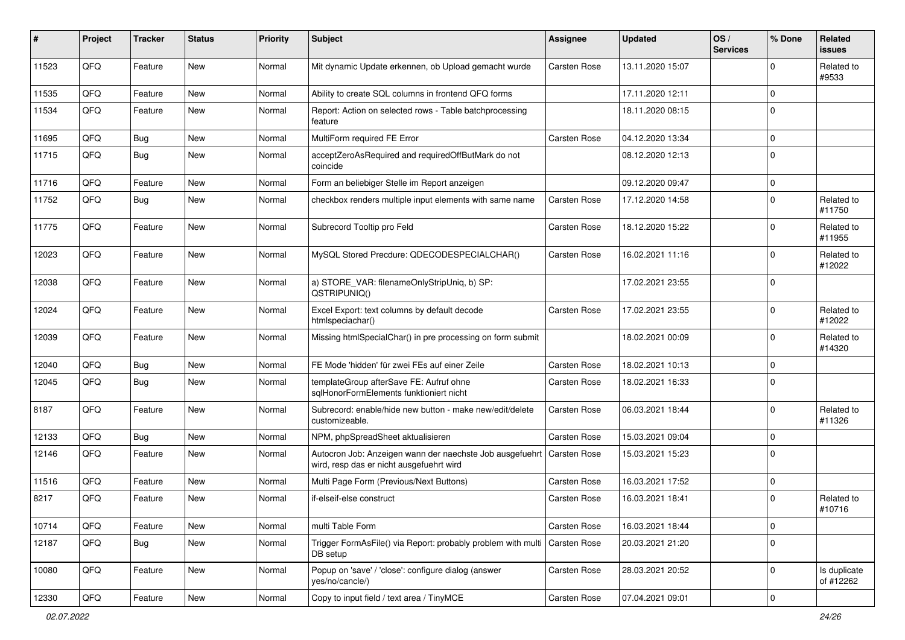| #     | Project | <b>Tracker</b> | <b>Status</b> | <b>Priority</b> | Subject                                                                                              | <b>Assignee</b>     | <b>Updated</b>   | OS/<br><b>Services</b> | % Done         | <b>Related</b><br><b>issues</b> |
|-------|---------|----------------|---------------|-----------------|------------------------------------------------------------------------------------------------------|---------------------|------------------|------------------------|----------------|---------------------------------|
| 11523 | QFQ     | Feature        | New           | Normal          | Mit dynamic Update erkennen, ob Upload gemacht wurde                                                 | <b>Carsten Rose</b> | 13.11.2020 15:07 |                        | $\Omega$       | Related to<br>#9533             |
| 11535 | QFQ     | Feature        | <b>New</b>    | Normal          | Ability to create SQL columns in frontend QFQ forms                                                  |                     | 17.11.2020 12:11 |                        | $\mathbf 0$    |                                 |
| 11534 | QFQ     | Feature        | New           | Normal          | Report: Action on selected rows - Table batchprocessing<br>feature                                   |                     | 18.11.2020 08:15 |                        | $\mathbf 0$    |                                 |
| 11695 | QFQ     | Bug            | New           | Normal          | MultiForm required FE Error                                                                          | <b>Carsten Rose</b> | 04.12.2020 13:34 |                        | $\mathbf 0$    |                                 |
| 11715 | QFQ     | <b>Bug</b>     | New           | Normal          | acceptZeroAsRequired and requiredOffButMark do not<br>coincide                                       |                     | 08.12.2020 12:13 |                        | $\overline{0}$ |                                 |
| 11716 | QFQ     | Feature        | <b>New</b>    | Normal          | Form an beliebiger Stelle im Report anzeigen                                                         |                     | 09.12.2020 09:47 |                        | $\overline{0}$ |                                 |
| 11752 | QFQ     | Bug            | New           | Normal          | checkbox renders multiple input elements with same name                                              | <b>Carsten Rose</b> | 17.12.2020 14:58 |                        | $\overline{0}$ | Related to<br>#11750            |
| 11775 | QFQ     | Feature        | New           | Normal          | Subrecord Tooltip pro Feld                                                                           | <b>Carsten Rose</b> | 18.12.2020 15:22 |                        | $\mathbf 0$    | Related to<br>#11955            |
| 12023 | QFQ     | Feature        | New           | Normal          | MySQL Stored Precdure: QDECODESPECIALCHAR()                                                          | <b>Carsten Rose</b> | 16.02.2021 11:16 |                        | $\mathbf 0$    | Related to<br>#12022            |
| 12038 | QFQ     | Feature        | <b>New</b>    | Normal          | a) STORE_VAR: filenameOnlyStripUniq, b) SP:<br>QSTRIPUNIQ()                                          |                     | 17.02.2021 23:55 |                        | $\Omega$       |                                 |
| 12024 | QFQ     | Feature        | New           | Normal          | Excel Export: text columns by default decode<br>htmlspeciachar()                                     | <b>Carsten Rose</b> | 17.02.2021 23:55 |                        | $\mathbf 0$    | Related to<br>#12022            |
| 12039 | QFQ     | Feature        | New           | Normal          | Missing htmlSpecialChar() in pre processing on form submit                                           |                     | 18.02.2021 00:09 |                        | $\overline{0}$ | Related to<br>#14320            |
| 12040 | QFQ     | <b>Bug</b>     | New           | Normal          | FE Mode 'hidden' für zwei FEs auf einer Zeile                                                        | <b>Carsten Rose</b> | 18.02.2021 10:13 |                        | $\mathbf 0$    |                                 |
| 12045 | QFQ     | Bug            | New           | Normal          | templateGroup afterSave FE: Aufruf ohne<br>sglHonorFormElements funktioniert nicht                   | <b>Carsten Rose</b> | 18.02.2021 16:33 |                        | $\mathbf 0$    |                                 |
| 8187  | QFQ     | Feature        | New           | Normal          | Subrecord: enable/hide new button - make new/edit/delete<br>customizeable.                           | <b>Carsten Rose</b> | 06.03.2021 18:44 |                        | $\overline{0}$ | Related to<br>#11326            |
| 12133 | QFQ     | <b>Bug</b>     | <b>New</b>    | Normal          | NPM, phpSpreadSheet aktualisieren                                                                    | <b>Carsten Rose</b> | 15.03.2021 09:04 |                        | $\mathbf 0$    |                                 |
| 12146 | QFQ     | Feature        | New           | Normal          | Autocron Job: Anzeigen wann der naechste Job ausgefuehrt<br>wird, resp das er nicht ausgefuehrt wird | Carsten Rose        | 15.03.2021 15:23 |                        | $\overline{0}$ |                                 |
| 11516 | QFQ     | Feature        | New           | Normal          | Multi Page Form (Previous/Next Buttons)                                                              | <b>Carsten Rose</b> | 16.03.2021 17:52 |                        | $\mathbf 0$    |                                 |
| 8217  | QFQ     | Feature        | New           | Normal          | if-elseif-else construct                                                                             | <b>Carsten Rose</b> | 16.03.2021 18:41 |                        | $\overline{0}$ | Related to<br>#10716            |
| 10714 | QFQ     | Feature        | New           | Normal          | multi Table Form                                                                                     | Carsten Rose        | 16.03.2021 18:44 |                        | $\mathbf 0$    |                                 |
| 12187 | QFQ     | <b>Bug</b>     | New           | Normal          | Trigger FormAsFile() via Report: probably problem with multi<br>DB setup                             | Carsten Rose        | 20.03.2021 21:20 |                        | $\mathbf 0$    |                                 |
| 10080 | QFQ     | Feature        | New           | Normal          | Popup on 'save' / 'close': configure dialog (answer<br>yes/no/cancle/)                               | Carsten Rose        | 28.03.2021 20:52 |                        | $\mathbf 0$    | Is duplicate<br>of #12262       |
| 12330 | QFQ     | Feature        | New           | Normal          | Copy to input field / text area / TinyMCE                                                            | Carsten Rose        | 07.04.2021 09:01 |                        | $\pmb{0}$      |                                 |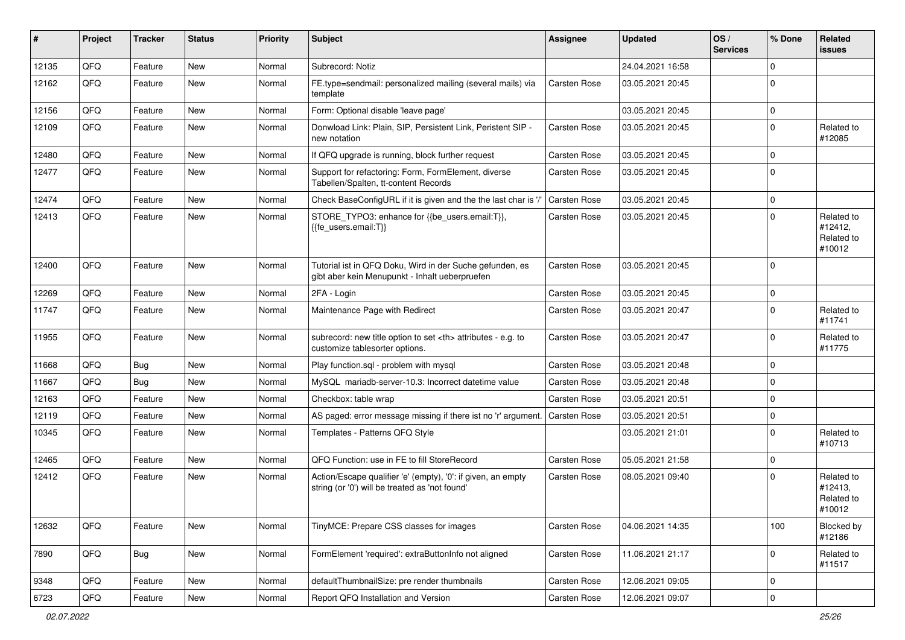| ∦     | Project | <b>Tracker</b> | <b>Status</b> | <b>Priority</b> | Subject                                                                                                        | <b>Assignee</b>                                        | <b>Updated</b>      | OS/<br><b>Services</b> | % Done      | Related<br>issues                             |                      |
|-------|---------|----------------|---------------|-----------------|----------------------------------------------------------------------------------------------------------------|--------------------------------------------------------|---------------------|------------------------|-------------|-----------------------------------------------|----------------------|
| 12135 | QFQ     | Feature        | <b>New</b>    | Normal          | Subrecord: Notiz                                                                                               |                                                        | 24.04.2021 16:58    |                        | $\Omega$    |                                               |                      |
| 12162 | QFQ     | Feature        | New           | Normal          | FE.type=sendmail: personalized mailing (several mails) via<br>template                                         | <b>Carsten Rose</b>                                    | 03.05.2021 20:45    |                        | $\Omega$    |                                               |                      |
| 12156 | QFQ     | Feature        | <b>New</b>    | Normal          | Form: Optional disable 'leave page'                                                                            |                                                        | 03.05.2021 20:45    |                        | $\mathbf 0$ |                                               |                      |
| 12109 | QFQ     | Feature        | New           | Normal          | Donwload Link: Plain, SIP, Persistent Link, Peristent SIP -<br>new notation                                    | Carsten Rose                                           | 03.05.2021 20:45    |                        | $\mathbf 0$ | Related to<br>#12085                          |                      |
| 12480 | QFQ     | Feature        | New           | Normal          | If QFQ upgrade is running, block further request                                                               | Carsten Rose                                           | 03.05.2021 20:45    |                        | $\mathbf 0$ |                                               |                      |
| 12477 | QFQ     | Feature        | New           | Normal          | Support for refactoring: Form, FormElement, diverse<br>Tabellen/Spalten, tt-content Records                    | <b>Carsten Rose</b>                                    | 03.05.2021 20:45    |                        | $\Omega$    |                                               |                      |
| 12474 | QFQ     | Feature        | <b>New</b>    | Normal          | Check BaseConfigURL if it is given and the the last char is '/                                                 | <b>Carsten Rose</b>                                    | 03.05.2021 20:45    |                        | $\mathbf 0$ |                                               |                      |
| 12413 | QFQ     | Feature        | New           | Normal          | STORE_TYPO3: enhance for {{be_users.email:T}},<br>{{fe_users.email:T}}                                         | Carsten Rose                                           | 03.05.2021 20:45    |                        | $\mathbf 0$ | Related to<br>#12412,<br>Related to<br>#10012 |                      |
| 12400 | QFQ     | Feature        | <b>New</b>    | Normal          | Tutorial ist in QFQ Doku, Wird in der Suche gefunden, es<br>gibt aber kein Menupunkt - Inhalt ueberpruefen     | Carsten Rose                                           | 03.05.2021 20:45    |                        | $\Omega$    |                                               |                      |
| 12269 | QFQ     | Feature        | <b>New</b>    | Normal          | 2FA - Login                                                                                                    | Carsten Rose                                           | 03.05.2021 20:45    |                        | $\Omega$    |                                               |                      |
| 11747 | QFQ     | Feature        | New           | Normal          | Maintenance Page with Redirect                                                                                 | Carsten Rose                                           | 03.05.2021 20:47    |                        | $\mathbf 0$ | Related to<br>#11741                          |                      |
| 11955 | QFQ     | Feature        | <b>New</b>    | Normal          | subrecord: new title option to set <th> attributes - e.g. to<br/>customize tablesorter options.</th>           | attributes - e.g. to<br>customize tablesorter options. | <b>Carsten Rose</b> | 03.05.2021 20:47       |             | $\Omega$                                      | Related to<br>#11775 |
| 11668 | QFQ     | Bug            | <b>New</b>    | Normal          | Play function.sql - problem with mysql                                                                         | <b>Carsten Rose</b>                                    | 03.05.2021 20:48    |                        | $\Omega$    |                                               |                      |
| 11667 | QFQ     | Bug            | New           | Normal          | MySQL mariadb-server-10.3: Incorrect datetime value                                                            | Carsten Rose                                           | 03.05.2021 20:48    |                        | $\mathbf 0$ |                                               |                      |
| 12163 | QFQ     | Feature        | New           | Normal          | Checkbox: table wrap                                                                                           | Carsten Rose                                           | 03.05.2021 20:51    |                        | $\mathbf 0$ |                                               |                      |
| 12119 | QFQ     | Feature        | New           | Normal          | AS paged: error message missing if there ist no 'r' argument                                                   | <b>Carsten Rose</b>                                    | 03.05.2021 20:51    |                        | $\mathbf 0$ |                                               |                      |
| 10345 | QFQ     | Feature        | New           | Normal          | Templates - Patterns QFQ Style                                                                                 |                                                        | 03.05.2021 21:01    |                        | $\Omega$    | Related to<br>#10713                          |                      |
| 12465 | QFQ     | Feature        | <b>New</b>    | Normal          | QFQ Function: use in FE to fill StoreRecord                                                                    | Carsten Rose                                           | 05.05.2021 21:58    |                        | $\mathbf 0$ |                                               |                      |
| 12412 | QFQ     | Feature        | New           | Normal          | Action/Escape qualifier 'e' (empty), '0': if given, an empty<br>string (or '0') will be treated as 'not found' | <b>Carsten Rose</b>                                    | 08.05.2021 09:40    |                        | $\Omega$    | Related to<br>#12413,<br>Related to<br>#10012 |                      |
| 12632 | QFQ     | Feature        | New           | Normal          | TinyMCE: Prepare CSS classes for images                                                                        | Carsten Rose                                           | 04.06.2021 14:35    |                        | 100         | Blocked by<br>#12186                          |                      |
| 7890  | QFQ     | <b>Bug</b>     | New           | Normal          | FormElement 'required': extraButtonInfo not aligned                                                            | Carsten Rose                                           | 11.06.2021 21:17    |                        | $\mathbf 0$ | Related to<br>#11517                          |                      |
| 9348  | QFQ     | Feature        | New           | Normal          | defaultThumbnailSize: pre render thumbnails                                                                    | Carsten Rose                                           | 12.06.2021 09:05    |                        | 0           |                                               |                      |
| 6723  | QFG     | Feature        | New           | Normal          | Report QFQ Installation and Version                                                                            | Carsten Rose                                           | 12.06.2021 09:07    |                        | $\mathbf 0$ |                                               |                      |